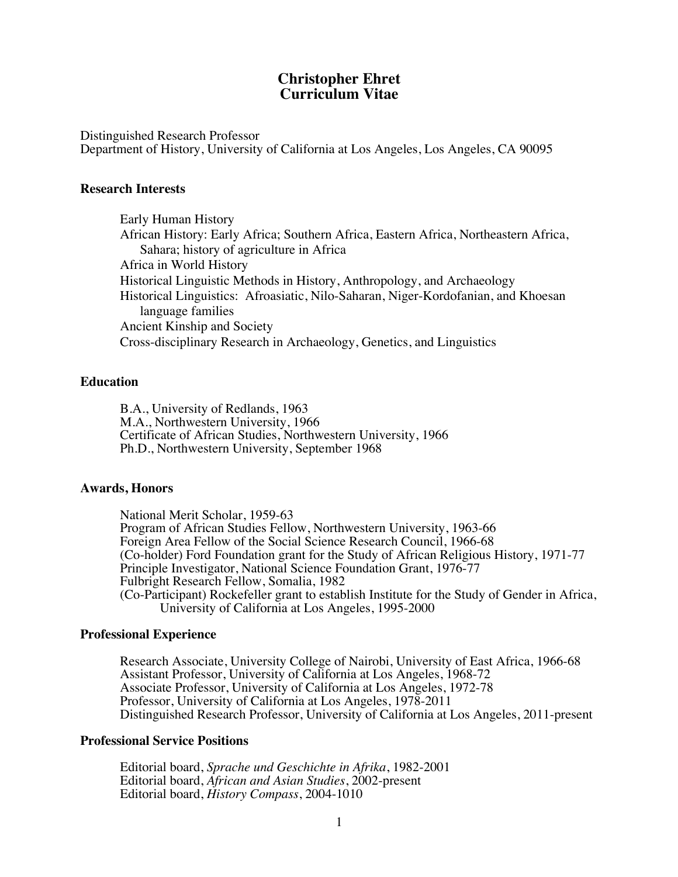## **Christopher Ehret Curriculum Vitae**

Distinguished Research Professor Department of History, University of California at Los Angeles, Los Angeles, CA 90095

### **Research Interests**

Early Human History African History: Early Africa; Southern Africa, Eastern Africa, Northeastern Africa, Sahara; history of agriculture in Africa Africa in World History Historical Linguistic Methods in History, Anthropology, and Archaeology Historical Linguistics: Afroasiatic, Nilo-Saharan, Niger-Kordofanian, and Khoesan language families Ancient Kinship and Society Cross-disciplinary Research in Archaeology, Genetics, and Linguistics

### **Education**

B.A., University of Redlands, 1963 M.A., Northwestern University, 1966 Certificate of African Studies, Northwestern University, 1966 Ph.D., Northwestern University, September 1968

#### **Awards, Honors**

National Merit Scholar, 1959-63 Program of African Studies Fellow, Northwestern University, 1963-66 Foreign Area Fellow of the Social Science Research Council, 1966-68 (Co-holder) Ford Foundation grant for the Study of African Religious History, 1971-77 Principle Investigator, National Science Foundation Grant, 1976-77 Fulbright Research Fellow, Somalia, 1982 (Co-Participant) Rockefeller grant to establish Institute for the Study of Gender in Africa, University of California at Los Angeles, 1995-2000

#### **Professional Experience**

Research Associate, University College of Nairobi, University of East Africa, 1966-68 Assistant Professor, University of California at Los Angeles, 1968-72 Associate Professor, University of California at Los Angeles, 1972-78 Professor, University of California at Los Angeles, 1978-2011 Distinguished Research Professor, University of California at Los Angeles, 2011-present

### **Professional Service Positions**

Editorial board, *Sprache und Geschichte in Afrika*, 1982-2001 Editorial board, *African and Asian Studies*, 2002-present Editorial board, *History Compass*, 2004-1010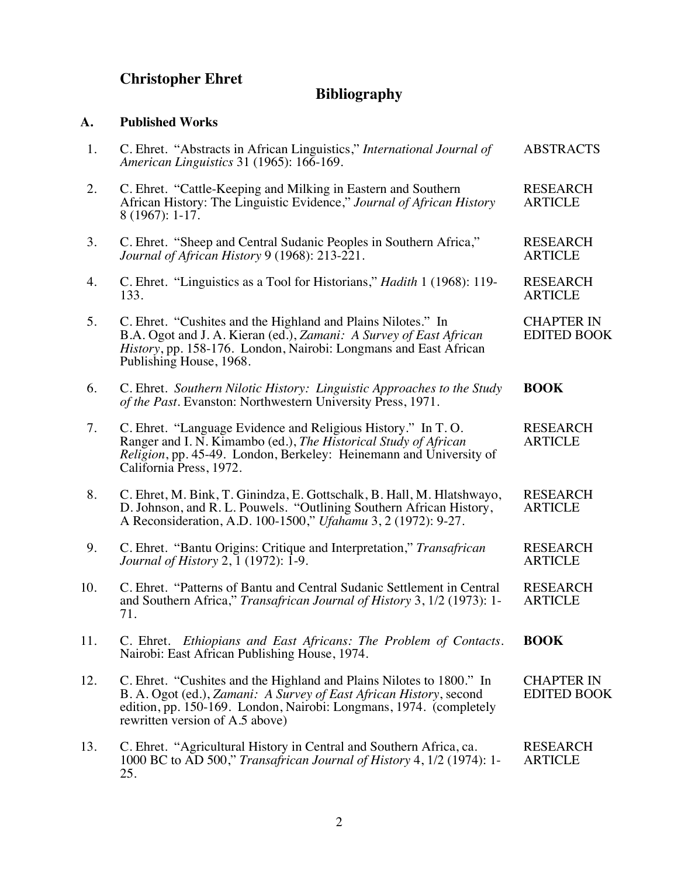# **Christopher Ehret**

# **Bibliography**

# **A. Published Works**

| 1.  | C. Ehret. "Abstracts in African Linguistics," International Journal of<br>American Linguistics 31 (1965): 166-169.                                                                                                                                  | <b>ABSTRACTS</b>                        |
|-----|-----------------------------------------------------------------------------------------------------------------------------------------------------------------------------------------------------------------------------------------------------|-----------------------------------------|
| 2.  | C. Ehret. "Cattle-Keeping and Milking in Eastern and Southern<br>African History: The Linguistic Evidence," Journal of African History<br>$8(1967): 1-17.$                                                                                          | <b>RESEARCH</b><br><b>ARTICLE</b>       |
| 3.  | C. Ehret. "Sheep and Central Sudanic Peoples in Southern Africa,"<br>Journal of African History 9 (1968): 213-221.                                                                                                                                  | <b>RESEARCH</b><br><b>ARTICLE</b>       |
| 4.  | C. Ehret. "Linguistics as a Tool for Historians," <i>Hadith</i> 1 (1968): 119-<br>133.                                                                                                                                                              | <b>RESEARCH</b><br><b>ARTICLE</b>       |
| 5.  | C. Ehret. "Cushites and the Highland and Plains Nilotes." In<br>B.A. Ogot and J. A. Kieran (ed.), Zamani: A Survey of East African<br>History, pp. 158-176. London, Nairobi: Longmans and East African<br>Publishing House, 1968.                   | <b>CHAPTER IN</b><br><b>EDITED BOOK</b> |
| 6.  | C. Ehret. Southern Nilotic History: Linguistic Approaches to the Study<br>of the Past. Evanston: Northwestern University Press, 1971.                                                                                                               | <b>BOOK</b>                             |
| 7.  | C. Ehret. "Language Evidence and Religious History." In T.O.<br>Ranger and I. N. Kimambo (ed.), The Historical Study of African<br>Religion, pp. 45-49. London, Berkeley: Heinemann and University of<br>California Press, 1972.                    | <b>RESEARCH</b><br><b>ARTICLE</b>       |
| 8.  | C. Ehret, M. Bink, T. Ginindza, E. Gottschalk, B. Hall, M. Hlatshwayo,<br>D. Johnson, and R. L. Pouwels. "Outlining Southern African History,<br>A Reconsideration, A.D. 100-1500," Ufahamu 3, 2 (1972): 9-27.                                      | <b>RESEARCH</b><br><b>ARTICLE</b>       |
| 9.  | C. Ehret. "Bantu Origins: Critique and Interpretation," Transafrican<br><i>Journal of History 2, 1 (1972): 1-9.</i>                                                                                                                                 | <b>RESEARCH</b><br><b>ARTICLE</b>       |
| 10. | C. Ehret. "Patterns of Bantu and Central Sudanic Settlement in Central<br>and Southern Africa," Transafrican Journal of History 3, 1/2 (1973): 1-<br>71.                                                                                            | <b>RESEARCH</b><br><b>ARTICLE</b>       |
| 11. | C. Ehret. Ethiopians and East Africans: The Problem of Contacts.<br>Nairobi: East African Publishing House, 1974.                                                                                                                                   | <b>BOOK</b>                             |
| 12. | C. Ehret. "Cushites and the Highland and Plains Nilotes to 1800." In<br>B. A. Ogot (ed.), Zamani: A Survey of East African History, second<br>edition, pp. 150-169. London, Nairobi: Longmans, 1974. (completely<br>rewritten version of A.5 above) | <b>CHAPTER IN</b><br><b>EDITED BOOK</b> |
| 13. | C. Ehret. "Agricultural History in Central and Southern Africa, ca.<br>1000 BC to AD 500," Transafrican Journal of History 4, 1/2 (1974): 1-<br>25.                                                                                                 | <b>RESEARCH</b><br><b>ARTICLE</b>       |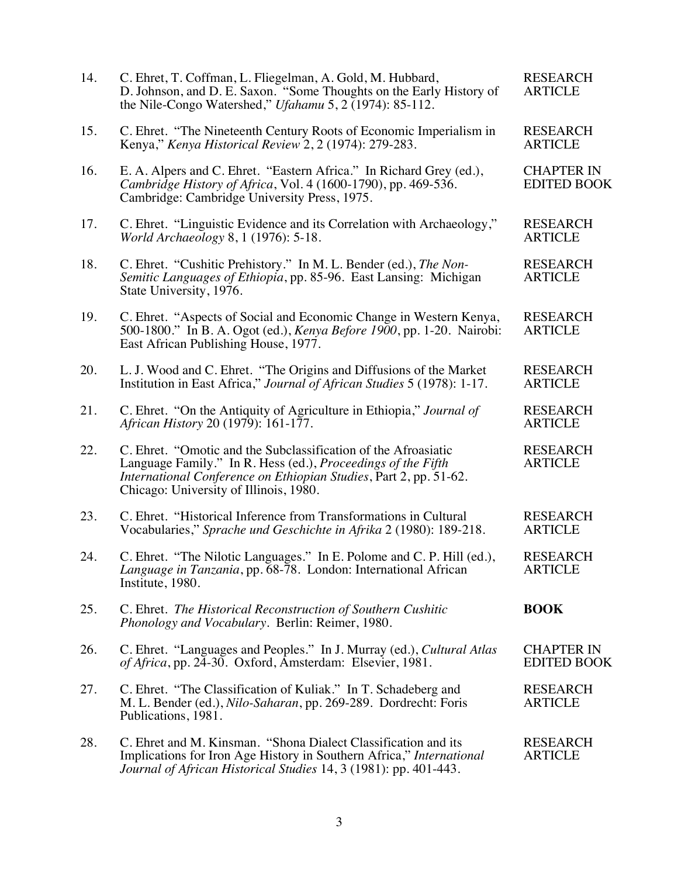| 14. | C. Ehret, T. Coffman, L. Fliegelman, A. Gold, M. Hubbard,<br>D. Johnson, and D. E. Saxon. "Some Thoughts on the Early History of<br>the Nile-Congo Watershed," Ufahamu 5, 2 $(1974)$ : 85-112.                                                | <b>RESEARCH</b><br><b>ARTICLE</b>       |
|-----|-----------------------------------------------------------------------------------------------------------------------------------------------------------------------------------------------------------------------------------------------|-----------------------------------------|
| 15. | C. Ehret. "The Nineteenth Century Roots of Economic Imperialism in<br>Kenya," Kenya Historical Review 2, 2 (1974): 279-283.                                                                                                                   | <b>RESEARCH</b><br><b>ARTICLE</b>       |
| 16. | E. A. Alpers and C. Ehret. "Eastern Africa." In Richard Grey (ed.),<br>Cambridge History of Africa, Vol. 4 (1600-1790), pp. 469-536.<br>Cambridge: Cambridge University Press, 1975.                                                          | <b>CHAPTER IN</b><br><b>EDITED BOOK</b> |
| 17. | C. Ehret. "Linguistic Evidence and its Correlation with Archaeology,"<br><i>World Archaeology</i> 8, 1 (1976): 5-18.                                                                                                                          | <b>RESEARCH</b><br><b>ARTICLE</b>       |
| 18. | C. Ehret. "Cushitic Prehistory." In M. L. Bender (ed.), The Non-<br>Semitic Languages of Ethiopia, pp. 85-96. East Lansing: Michigan<br>State University, 1976.                                                                               | <b>RESEARCH</b><br><b>ARTICLE</b>       |
| 19. | C. Ehret. "Aspects of Social and Economic Change in Western Kenya,<br>500-1800." In B. A. Ogot (ed.), <i>Kenya Before 1900</i> , pp. 1-20. Nairobi:<br>East African Publishing House, 1977.                                                   | <b>RESEARCH</b><br><b>ARTICLE</b>       |
| 20. | L. J. Wood and C. Ehret. "The Origins and Diffusions of the Market<br>Institution in East Africa," Journal of African Studies 5 (1978): 1-17.                                                                                                 | <b>RESEARCH</b><br><b>ARTICLE</b>       |
| 21. | C. Ehret. "On the Antiquity of Agriculture in Ethiopia," Journal of<br>African History 20 (1979): 161-177.                                                                                                                                    | <b>RESEARCH</b><br><b>ARTICLE</b>       |
| 22. | C. Ehret. "Omotic and the Subclassification of the Afroasiatic<br>Language Family." In R. Hess (ed.), Proceedings of the Fifth<br>International Conference on Ethiopian Studies, Part 2, pp. 51-62.<br>Chicago: University of Illinois, 1980. | <b>RESEARCH</b><br><b>ARTICLE</b>       |
| 23. | C. Ehret. "Historical Inference from Transformations in Cultural<br>Vocabularies," Sprache und Geschichte in Afrika 2 (1980): 189-218.                                                                                                        | <b>RESEARCH</b><br><b>ARTICLE</b>       |
| 24. | C. Ehret. "The Nilotic Languages." In E. Polome and C. P. Hill (ed.),<br>Language in Tanzania, pp. 68-78. London: International African<br>Institute, 1980.                                                                                   | <b>RESEARCH</b><br><b>ARTICLE</b>       |
| 25. | C. Ehret. The Historical Reconstruction of Southern Cushitic<br>Phonology and Vocabulary. Berlin: Reimer, 1980.                                                                                                                               | <b>BOOK</b>                             |
| 26. | C. Ehret. "Languages and Peoples." In J. Murray (ed.), Cultural Atlas<br>of Africa, pp. 24-30. Oxford, Amsterdam: Elsevier, 1981.                                                                                                             | <b>CHAPTER IN</b><br><b>EDITED BOOK</b> |
| 27. | C. Ehret. "The Classification of Kuliak." In T. Schadeberg and<br>M. L. Bender (ed.), <i>Nilo-Saharan</i> , pp. 269-289. Dordrecht: Foris<br>Publications, 1981.                                                                              | <b>RESEARCH</b><br><b>ARTICLE</b>       |
| 28. | C. Ehret and M. Kinsman. "Shona Dialect Classification and its<br>Implications for Iron Age History in Southern Africa," International<br>Journal of African Historical Studies 14, 3 (1981): pp. 401-443.                                    | <b>RESEARCH</b><br><b>ARTICLE</b>       |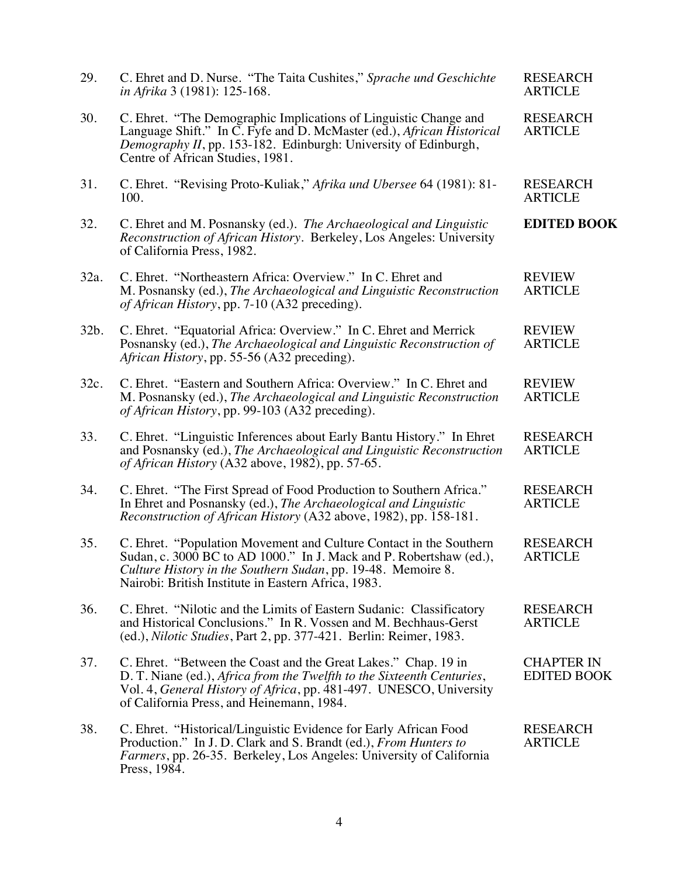| 29.  | C. Ehret and D. Nurse. "The Taita Cushites," Sprache und Geschichte<br>in Afrika 3 (1981): 125-168.                                                                                                                                                             | <b>RESEARCH</b><br><b>ARTICLE</b>       |
|------|-----------------------------------------------------------------------------------------------------------------------------------------------------------------------------------------------------------------------------------------------------------------|-----------------------------------------|
| 30.  | C. Ehret. "The Demographic Implications of Linguistic Change and<br>Language Shift." In C. Fyfe and D. McMaster (ed.), African Historical<br>Demography II, pp. 153-182. Edinburgh: University of Edinburgh,<br>Centre of African Studies, 1981.                | <b>RESEARCH</b><br><b>ARTICLE</b>       |
| 31.  | C. Ehret. "Revising Proto-Kuliak," Afrika und Ubersee 64 (1981): 81-<br>100.                                                                                                                                                                                    | <b>RESEARCH</b><br><b>ARTICLE</b>       |
| 32.  | C. Ehret and M. Posnansky (ed.). The Archaeological and Linguistic<br>Reconstruction of African History. Berkeley, Los Angeles: University<br>of California Press, 1982.                                                                                        | <b>EDITED BOOK</b>                      |
| 32a. | C. Ehret. "Northeastern Africa: Overview." In C. Ehret and<br>M. Posnansky (ed.), The Archaeological and Linguistic Reconstruction<br>of African History, pp. 7-10 (A32 preceding).                                                                             | <b>REVIEW</b><br><b>ARTICLE</b>         |
| 32b. | C. Ehret. "Equatorial Africa: Overview." In C. Ehret and Merrick<br>Posnansky (ed.), The Archaeological and Linguistic Reconstruction of<br>African History, pp. 55-56 (A32 preceding).                                                                         | <b>REVIEW</b><br><b>ARTICLE</b>         |
| 32c. | C. Ehret. "Eastern and Southern Africa: Overview." In C. Ehret and<br>M. Posnansky (ed.), The Archaeological and Linguistic Reconstruction<br>of African History, pp. 99-103 (A32 preceding).                                                                   | <b>REVIEW</b><br><b>ARTICLE</b>         |
| 33.  | C. Ehret. "Linguistic Inferences about Early Bantu History." In Ehret<br>and Posnansky (ed.), The Archaeological and Linguistic Reconstruction<br>of African History (A32 above, 1982), pp. 57-65.                                                              | <b>RESEARCH</b><br><b>ARTICLE</b>       |
| 34.  | C. Ehret. "The First Spread of Food Production to Southern Africa."<br>In Ehret and Posnansky (ed.), The Archaeological and Linguistic<br>Reconstruction of African History (A32 above, 1982), pp. 158-181.                                                     | <b>RESEARCH</b><br><b>ARTICLE</b>       |
| 35.  | C. Ehret. "Population Movement and Culture Contact in the Southern<br>Sudan, c. 3000 BC to AD 1000." In J. Mack and P. Robertshaw (ed.),<br>Culture History in the Southern Sudan, pp. 19-48. Memoire 8.<br>Nairobi: British Institute in Eastern Africa, 1983. | <b>RESEARCH</b><br><b>ARTICLE</b>       |
| 36.  | C. Ehret. "Nilotic and the Limits of Eastern Sudanic: Classificatory<br>and Historical Conclusions." In R. Vossen and M. Bechhaus-Gerst<br>(ed.), Nilotic Studies, Part 2, pp. 377-421. Berlin: Reimer, 1983.                                                   | <b>RESEARCH</b><br><b>ARTICLE</b>       |
| 37.  | C. Ehret. "Between the Coast and the Great Lakes." Chap. 19 in<br>D. T. Niane (ed.), Africa from the Twelfth to the Sixteenth Centuries,<br>Vol. 4, General History of Africa, pp. 481-497. UNESCO, University<br>of California Press, and Heinemann, 1984.     | <b>CHAPTER IN</b><br><b>EDITED BOOK</b> |
| 38.  | C. Ehret. "Historical/Linguistic Evidence for Early African Food<br>Production." In J. D. Clark and S. Brandt (ed.), From Hunters to<br>Farmers, pp. 26-35. Berkeley, Los Angeles: University of California<br>Press, 1984.                                     | <b>RESEARCH</b><br><b>ARTICLE</b>       |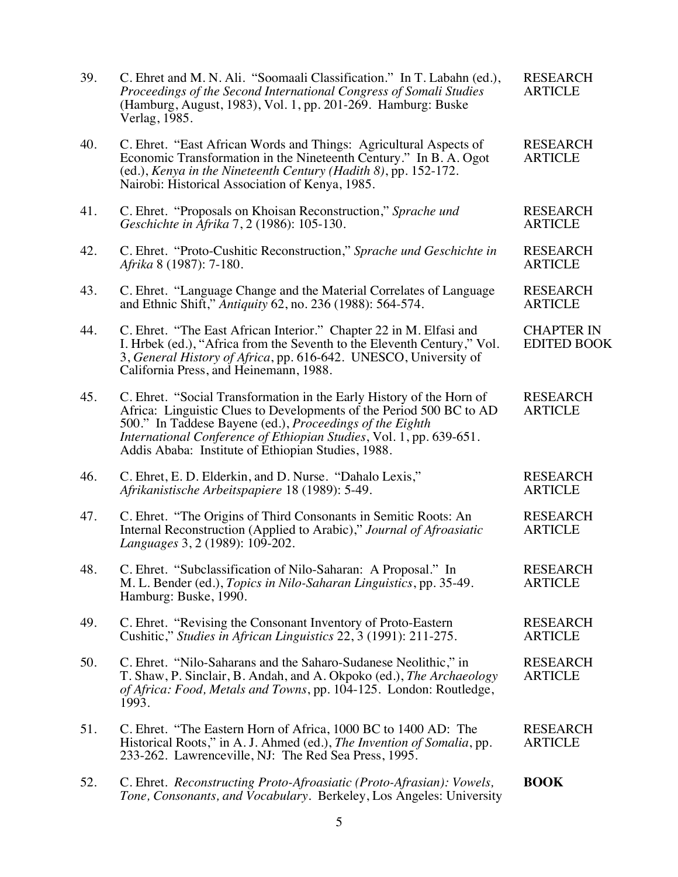| 39. | C. Ehret and M. N. Ali. "Soomaali Classification." In T. Labahn (ed.),<br>Proceedings of the Second International Congress of Somali Studies<br>(Hamburg, August, 1983), Vol. 1, pp. 201-269. Hamburg: Buske<br>Verlag, 1985.                                                                                                        | <b>RESEARCH</b><br><b>ARTICLE</b>       |
|-----|--------------------------------------------------------------------------------------------------------------------------------------------------------------------------------------------------------------------------------------------------------------------------------------------------------------------------------------|-----------------------------------------|
| 40. | C. Ehret. "East African Words and Things: Agricultural Aspects of<br>Economic Transformation in the Nineteenth Century." In B. A. Ogot<br>(ed.), Kenya in the Nineteenth Century (Hadith 8), pp. 152-172.<br>Nairobi: Historical Association of Kenya, 1985.                                                                         | <b>RESEARCH</b><br><b>ARTICLE</b>       |
| 41. | C. Ehret. "Proposals on Khoisan Reconstruction," Sprache und<br>Geschichte in Afrika 7, 2 (1986): 105-130.                                                                                                                                                                                                                           | <b>RESEARCH</b><br><b>ARTICLE</b>       |
| 42. | C. Ehret. "Proto-Cushitic Reconstruction," Sprache und Geschichte in<br>Afrika 8 (1987): 7-180.                                                                                                                                                                                                                                      | <b>RESEARCH</b><br><b>ARTICLE</b>       |
| 43. | C. Ehret. "Language Change and the Material Correlates of Language<br>and Ethnic Shift," Antiquity 62, no. 236 (1988): 564-574.                                                                                                                                                                                                      | <b>RESEARCH</b><br><b>ARTICLE</b>       |
| 44. | C. Ehret. "The East African Interior." Chapter 22 in M. Elfasi and<br>I. Hrbek (ed.), "Africa from the Seventh to the Eleventh Century," Vol.<br>3, General History of Africa, pp. 616-642. UNESCO, University of<br>California Press, and Heinemann, 1988.                                                                          | <b>CHAPTER IN</b><br><b>EDITED BOOK</b> |
| 45. | C. Ehret. "Social Transformation in the Early History of the Horn of<br>Africa: Linguistic Clues to Developments of the Period 500 BC to AD<br>500." In Taddese Bayene (ed.), Proceedings of the Eighth<br>International Conference of Ethiopian Studies, Vol. 1, pp. 639-651.<br>Addis Ababa: Institute of Ethiopian Studies, 1988. | <b>RESEARCH</b><br><b>ARTICLE</b>       |
| 46. | C. Ehret, E. D. Elderkin, and D. Nurse. "Dahalo Lexis,"<br>Afrikanistische Arbeitspapiere 18 (1989): 5-49.                                                                                                                                                                                                                           | <b>RESEARCH</b><br><b>ARTICLE</b>       |
| 47. | C. Ehret. "The Origins of Third Consonants in Semitic Roots: An<br>Internal Reconstruction (Applied to Arabic)," Journal of Afroasiatic<br>Languages 3, 2 (1989): 109-202.                                                                                                                                                           | <b>RESEARCH</b><br><b>ARTICLE</b>       |
| 48. | C. Ehret. "Subclassification of Nilo-Saharan: A Proposal." In<br>M. L. Bender (ed.), <i>Topics in Nilo-Saharan Linguistics</i> , pp. 35-49.<br>Hamburg: Buske, 1990.                                                                                                                                                                 | <b>RESEARCH</b><br><b>ARTICLE</b>       |
| 49. | C. Ehret. "Revising the Consonant Inventory of Proto-Eastern"<br>Cushitic," Studies in African Linguistics 22, 3 (1991): 211-275.                                                                                                                                                                                                    | <b>RESEARCH</b><br><b>ARTICLE</b>       |
| 50. | C. Ehret. "Nilo-Saharans and the Saharo-Sudanese Neolithic," in<br>T. Shaw, P. Sinclair, B. Andah, and A. Okpoko (ed.), The Archaeology<br>of Africa: Food, Metals and Towns, pp. 104-125. London: Routledge,<br>1993.                                                                                                               | <b>RESEARCH</b><br><b>ARTICLE</b>       |
| 51. | C. Ehret. "The Eastern Horn of Africa, 1000 BC to 1400 AD: The<br>Historical Roots," in A. J. Ahmed (ed.), The Invention of Somalia, pp.<br>233-262. Lawrenceville, NJ: The Red Sea Press, 1995.                                                                                                                                     | <b>RESEARCH</b><br><b>ARTICLE</b>       |
| 52. | C. Ehret. Reconstructing Proto-Afroasiatic (Proto-Afrasian): Vowels,<br>Tone, Consonants, and Vocabulary. Berkeley, Los Angeles: University                                                                                                                                                                                          | <b>BOOK</b>                             |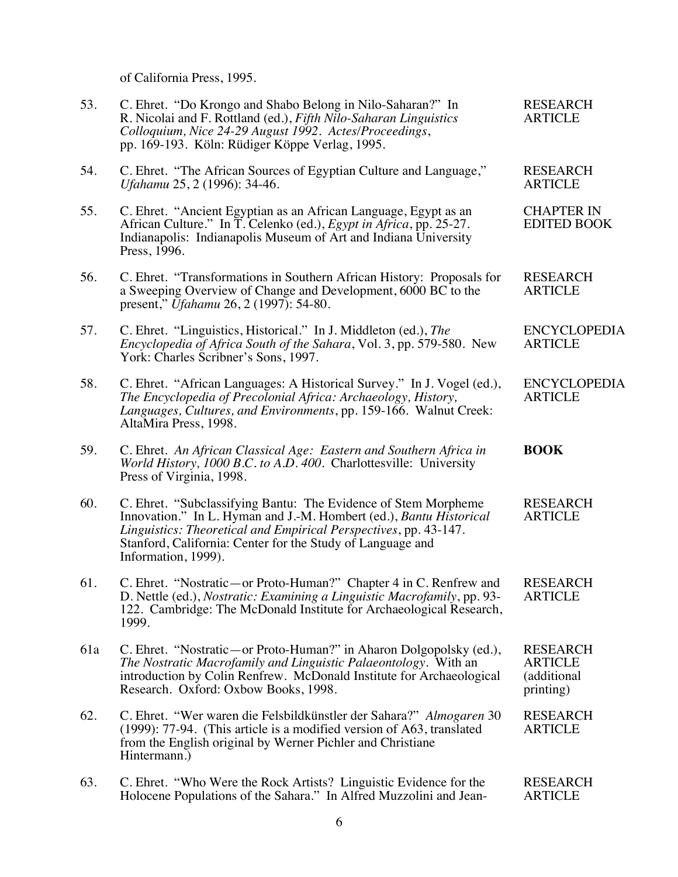of California Press, 1995.

| 53. | C. Ehret. "Do Krongo and Shabo Belong in Nilo-Saharan?" In<br>R. Nicolai and F. Rottland (ed.), Fifth Nilo-Saharan Linguistics<br>Colloquium, Nice 24-29 August 1992. Actes/Proceedings,<br>pp. 169-193. Köln: Rüdiger Köppe Verlag, 1995.                                                    | <b>RESEARCH</b><br><b>ARTICLE</b>                             |
|-----|-----------------------------------------------------------------------------------------------------------------------------------------------------------------------------------------------------------------------------------------------------------------------------------------------|---------------------------------------------------------------|
| 54. | C. Ehret. "The African Sources of Egyptian Culture and Language,"<br>Ufahamu 25, 2 (1996): 34-46.                                                                                                                                                                                             | <b>RESEARCH</b><br><b>ARTICLE</b>                             |
| 55. | C. Ehret. "Ancient Egyptian as an African Language, Egypt as an<br>African Culture." In T. Celenko (ed.), Egypt in Africa, pp. 25-27.<br>Indianapolis: Indianapolis Museum of Art and Indiana University<br>Press, 1996.                                                                      | <b>CHAPTER IN</b><br><b>EDITED BOOK</b>                       |
| 56. | C. Ehret. "Transformations in Southern African History: Proposals for<br>a Sweeping Overview of Change and Development, 6000 BC to the<br>present," <i>Ufahamu</i> 26, 2 (1997): 54-80.                                                                                                       | <b>RESEARCH</b><br><b>ARTICLE</b>                             |
| 57. | C. Ehret. "Linguistics, Historical." In J. Middleton (ed.), The<br><i>Encyclopedia of Africa South of the Sahara, Vol. 3, pp. 579-580. New</i><br>York: Charles Scribner's Sons, 1997.                                                                                                        | <b>ENCYCLOPEDIA</b><br><b>ARTICLE</b>                         |
| 58. | C. Ehret. "African Languages: A Historical Survey." In J. Vogel (ed.),<br>The Encyclopedia of Precolonial Africa: Archaeology, History,<br>Languages, Cultures, and Environments, pp. 159-166. Walnut Creek:<br>AltaMira Press, 1998.                                                         | <b>ENCYCLOPEDIA</b><br><b>ARTICLE</b>                         |
| 59. | C. Ehret. An African Classical Age: Eastern and Southern Africa in<br>World History, 1000 B.C. to A.D. 400. Charlottesville: University<br>Press of Virginia, 1998.                                                                                                                           | <b>BOOK</b>                                                   |
| 60. | C. Ehret. "Subclassifying Bantu: The Evidence of Stem Morpheme<br>Innovation." In L. Hyman and J.-M. Hombert (ed.), Bantu Historical<br>Linguistics: Theoretical and Empirical Perspectives, pp. 43-147.<br>Stanford, California: Center for the Study of Language and<br>Information, 1999). | <b>RESEARCH</b><br><b>ARTICLE</b>                             |
| 61. | C. Ehret. "Nostratic-or Proto-Human?" Chapter 4 in C. Renfrew and<br>D. Nettle (ed.), Nostratic: Examining a Linguistic Macrofamily, pp. 93-<br>122. Cambridge: The McDonald Institute for Archaeological Research,<br>1999.                                                                  | <b>RESEARCH</b><br><b>ARTICLE</b>                             |
| 61a | C. Ehret. "Nostratic—or Proto-Human?" in Aharon Dolgopolsky (ed.),<br>The Nostratic Macrofamily and Linguistic Palaeontology. With an<br>introduction by Colin Renfrew. McDonald Institute for Archaeological<br>Research. Oxford: Oxbow Books, 1998.                                         | <b>RESEARCH</b><br><b>ARTICLE</b><br>(additional<br>printing) |
| 62. | C. Ehret. "Wer waren die Felsbildkünstler der Sahara?" Almogaren 30<br>(1999): 77-94. (This article is a modified version of A63, translated<br>from the English original by Werner Pichler and Christiane<br>Hintermann.)                                                                    | <b>RESEARCH</b><br><b>ARTICLE</b>                             |
| 63. | C. Ehret. "Who Were the Rock Artists? Linguistic Evidence for the<br>Holocene Populations of the Sahara." In Alfred Muzzolini and Jean-                                                                                                                                                       | <b>RESEARCH</b><br><b>ARTICLE</b>                             |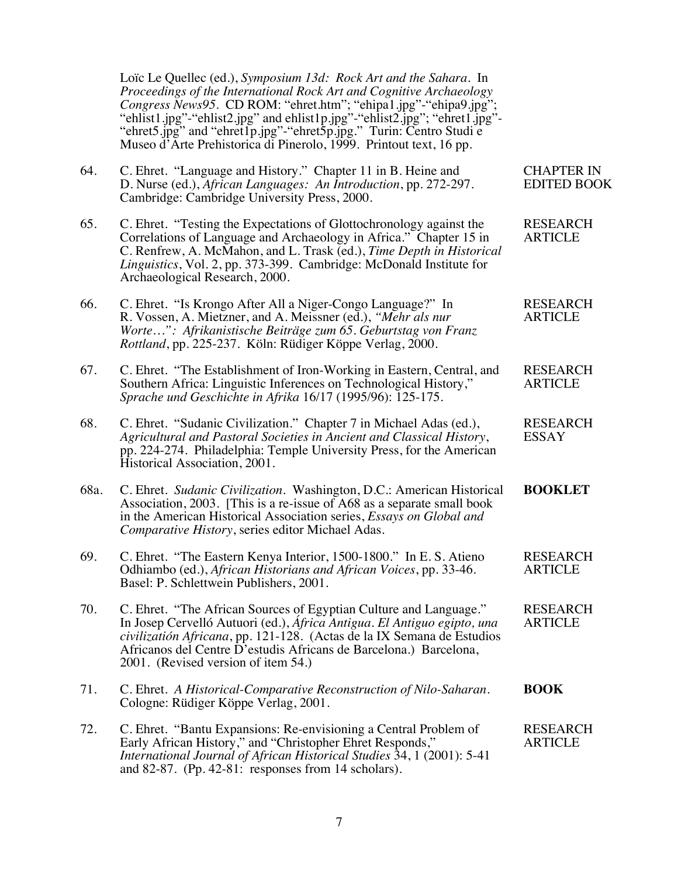Loïc Le Quellec (ed.), *Symposium 13d: Rock Art and the Sahara*. In *Proceedings of the International Rock Art and Cognitive Archaeology Congress News95*. CD ROM: "ehret.htm"; "ehipa1.jpg"-"ehipa9.jpg"; "ehlist1.jpg"-"ehlist2.jpg" and ehlist1p.jpg"-"ehlist2.jpg"; "ehret1.jpg"- "ehret5.jpg" and "ehret1p.jpg"-"ehret5p.jpg." Turin: Centro Studi e Museo d'Arte Prehistorica di Pinerolo, 1999. Printout text, 16 pp.

| 64.  | C. Ehret. "Language and History." Chapter 11 in B. Heine and<br>D. Nurse (ed.), African Languages: An Introduction, pp. 272-297.<br>Cambridge: Cambridge University Press, 2000.                                                                                                                                                   | <b>CHAPTER IN</b><br><b>EDITED BOOK</b> |
|------|------------------------------------------------------------------------------------------------------------------------------------------------------------------------------------------------------------------------------------------------------------------------------------------------------------------------------------|-----------------------------------------|
| 65.  | C. Ehret. "Testing the Expectations of Glottochronology against the<br>Correlations of Language and Archaeology in Africa." Chapter 15 in<br>C. Renfrew, A. McMahon, and L. Trask (ed.), Time Depth in Historical<br>Linguistics, Vol. 2, pp. 373-399. Cambridge: McDonald Institute for<br>Archaeological Research, 2000.         | <b>RESEARCH</b><br><b>ARTICLE</b>       |
| 66.  | C. Ehret. "Is Krongo After All a Niger-Congo Language?" In<br>R. Vossen, A. Mietzner, and A. Meissner (ed.), "Mehr als nur<br>Worte": Afrikanistische Beiträge zum 65. Geburtstag von Franz<br>Rottland, pp. 225-237. Köln: Rüdiger Köppe Verlag, 2000.                                                                            | <b>RESEARCH</b><br><b>ARTICLE</b>       |
| 67.  | C. Ehret. "The Establishment of Iron-Working in Eastern, Central, and<br>Southern Africa: Linguistic Inferences on Technological History,"<br>Sprache und Geschichte in Afrika 16/17 (1995/96): 125-175.                                                                                                                           | <b>RESEARCH</b><br><b>ARTICLE</b>       |
| 68.  | C. Ehret. "Sudanic Civilization." Chapter 7 in Michael Adas (ed.),<br>Agricultural and Pastoral Societies in Ancient and Classical History,<br>pp. 224-274. Philadelphia: Temple University Press, for the American<br>Historical Association, 2001.                                                                               | <b>RESEARCH</b><br><b>ESSAY</b>         |
| 68a. | C. Ehret. Sudanic Civilization. Washington, D.C.: American Historical<br>Association, 2003. [This is a re-issue of A68 as a separate small book<br>in the American Historical Association series, Essays on Global and<br>Comparative History, series editor Michael Adas.                                                         | <b>BOOKLET</b>                          |
| 69.  | C. Ehret. "The Eastern Kenya Interior, 1500-1800." In E. S. Atieno<br>Odhiambo (ed.), African Historians and African Voices, pp. 33-46.<br>Basel: P. Schlettwein Publishers, 2001.                                                                                                                                                 | <b>RESEARCH</b><br><b>ARTICLE</b>       |
| 70.  | C. Ehret. "The African Sources of Egyptian Culture and Language."<br>In Josep Cervelló Autuori (ed.), África Antigua. El Antiguo egipto, una<br>civilizatión Africana, pp. 121-128. (Actas de la IX Semana de Estudios<br>Africanos del Centre D'estudis Africans de Barcelona.) Barcelona,<br>2001. (Revised version of item 54.) | <b>RESEARCH</b><br><b>ARTICLE</b>       |
| 71.  | C. Ehret. A Historical-Comparative Reconstruction of Nilo-Saharan.<br>Cologne: Rüdiger Köppe Verlag, 2001.                                                                                                                                                                                                                         | <b>BOOK</b>                             |
| 72.  | C. Ehret. "Bantu Expansions: Re-envisioning a Central Problem of<br>Early African History," and "Christopher Ehret Responds,"<br>International Journal of African Historical Studies 34, 1 (2001): 5-41                                                                                                                            | <b>RESEARCH</b><br><b>ARTICLE</b>       |

and 82-87. (Pp. 42-81: responses from 14 scholars).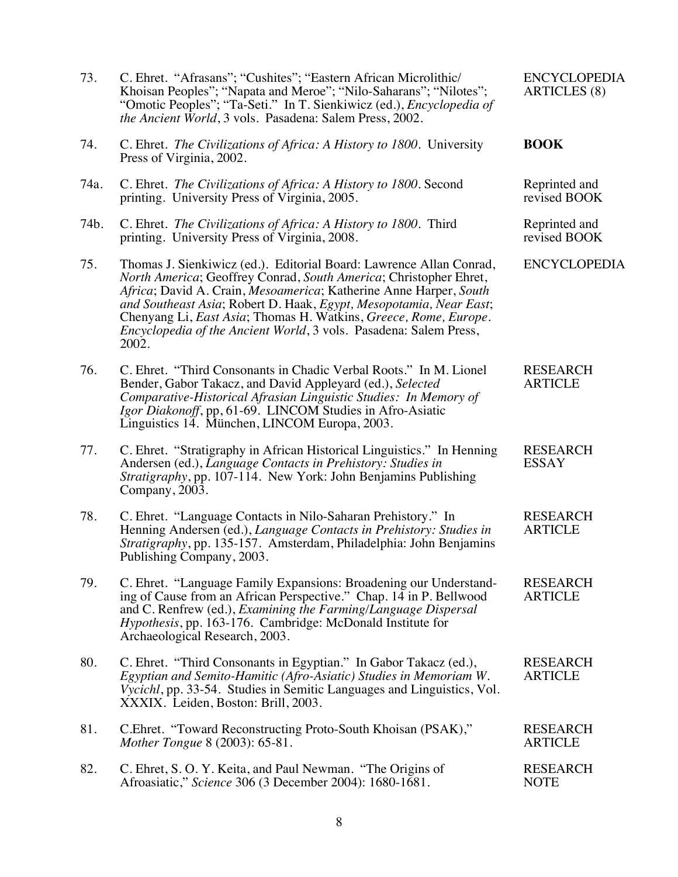| 73.  | C. Ehret. "Afrasans"; "Cushites"; "Eastern African Microlithic/<br>Khoisan Peoples"; "Napata and Meroe"; "Nilo-Saharans"; "Nilotes";<br>"Omotic Peoples"; "Ta-Seti." In T. Sienkiwicz (ed.), Encyclopedia of<br>the Ancient World, 3 vols. Pasadena: Salem Press, 2002.                                                                                                                                                                                               | <b>ENCYCLOPEDIA</b><br><b>ARTICLES</b> (8) |
|------|-----------------------------------------------------------------------------------------------------------------------------------------------------------------------------------------------------------------------------------------------------------------------------------------------------------------------------------------------------------------------------------------------------------------------------------------------------------------------|--------------------------------------------|
| 74.  | C. Ehret. The Civilizations of Africa: A History to 1800. University<br>Press of Virginia, 2002.                                                                                                                                                                                                                                                                                                                                                                      | <b>BOOK</b>                                |
| 74a. | C. Ehret. The Civilizations of Africa: A History to 1800. Second<br>printing. University Press of Virginia, 2005.                                                                                                                                                                                                                                                                                                                                                     | Reprinted and<br>revised BOOK              |
| 74b. | C. Ehret. <i>The Civilizations of Africa: A History to 1800</i> . Third<br>printing. University Press of Virginia, 2008.                                                                                                                                                                                                                                                                                                                                              | Reprinted and<br>revised BOOK              |
| 75.  | Thomas J. Sienkiwicz (ed.). Editorial Board: Lawrence Allan Conrad,<br>North America; Geoffrey Conrad, South America; Christopher Ehret,<br>Africa; David A. Crain, Mesoamerica; Katherine Anne Harper, South<br>and Southeast Asia; Robert D. Haak, Egypt, Mesopotamia, Near East;<br>Chenyang Li, <i>East Asia</i> ; Thomas H. Watkins, <i>Greece</i> , <i>Rome</i> , <i>Europe</i> .<br>Encyclopedia of the Ancient World, 3 vols. Pasadena: Salem Press,<br>2002. | <b>ENCYCLOPEDIA</b>                        |
| 76.  | C. Ehret. "Third Consonants in Chadic Verbal Roots." In M. Lionel<br>Bender, Gabor Takacz, and David Appleyard (ed.), Selected<br>Comparative-Historical Afrasian Linguistic Studies: In Memory of<br>Igor Diakonoff, pp, 61-69. LINCOM Studies in Afro-Asiatic<br>Linguistics 14. München, LINCOM Europa, 2003.                                                                                                                                                      | <b>RESEARCH</b><br><b>ARTICLE</b>          |
| 77.  | C. Ehret. "Stratigraphy in African Historical Linguistics." In Henning<br>Andersen (ed.), Language Contacts in Prehistory: Studies in<br>Stratigraphy, pp. 107-114. New York: John Benjamins Publishing<br>Company, 2003.                                                                                                                                                                                                                                             | <b>RESEARCH</b><br><b>ESSAY</b>            |
| 78.  | C. Ehret. "Language Contacts in Nilo-Saharan Prehistory." In<br>Henning Andersen (ed.), Language Contacts in Prehistory: Studies in<br>Stratigraphy, pp. 135-157. Amsterdam, Philadelphia: John Benjamins<br>Publishing Company, 2003.                                                                                                                                                                                                                                | <b>RESEARCH</b><br><b>ARTICLE</b>          |
| 79.  | C. Ehret. "Language Family Expansions: Broadening our Understand-<br>ing of Cause from an African Perspective." Chap. 14 in P. Bellwood<br>and C. Renfrew (ed.), Examining the Farming/Language Dispersal<br>Hypothesis, pp. 163-176. Cambridge: McDonald Institute for<br>Archaeological Research, 2003.                                                                                                                                                             | <b>RESEARCH</b><br><b>ARTICLE</b>          |
| 80.  | C. Ehret. "Third Consonants in Egyptian." In Gabor Takacz (ed.),<br>Egyptian and Semito-Hamitic (Afro-Asiatic) Studies in Memoriam W.<br><i>Vycichl</i> , pp. 33-54. Studies in Semitic Languages and Linguistics, Vol.<br>XXXIX. Leiden, Boston: Brill, 2003.                                                                                                                                                                                                        | <b>RESEARCH</b><br><b>ARTICLE</b>          |
| 81.  | C. Ehret. "Toward Reconstructing Proto-South Khoisan (PSAK),"<br><i>Mother Tongue 8 (2003): 65-81.</i>                                                                                                                                                                                                                                                                                                                                                                | <b>RESEARCH</b><br><b>ARTICLE</b>          |
| 82.  | C. Ehret, S. O. Y. Keita, and Paul Newman. "The Origins of<br>Afroasiatic," Science 306 (3 December 2004): 1680-1681.                                                                                                                                                                                                                                                                                                                                                 | <b>RESEARCH</b><br><b>NOTE</b>             |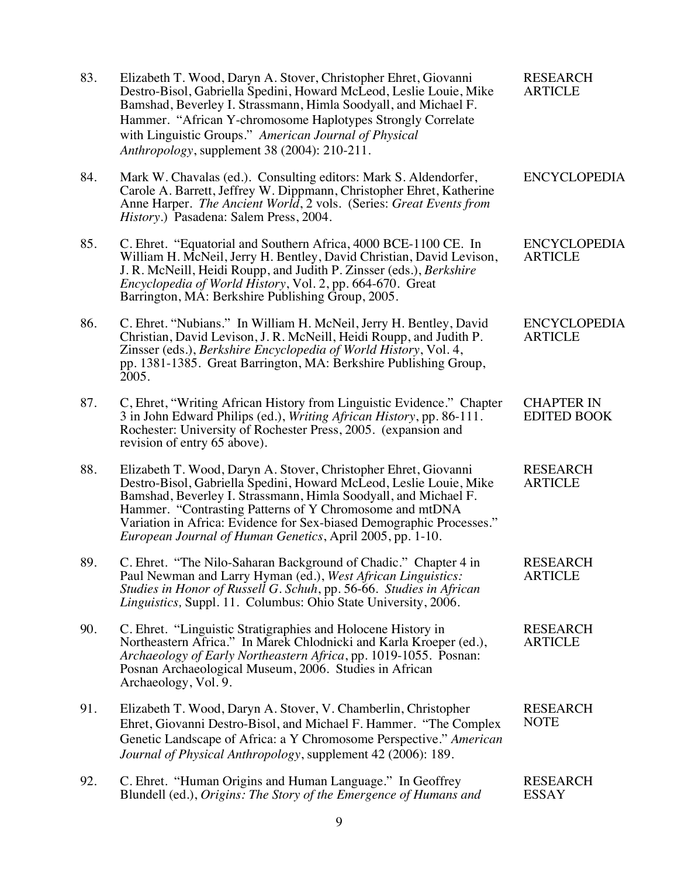| 83. | Elizabeth T. Wood, Daryn A. Stover, Christopher Ehret, Giovanni<br>Destro-Bisol, Gabriella Spedini, Howard McLeod, Leslie Louie, Mike<br>Bamshad, Beverley I. Strassmann, Himla Soodyall, and Michael F.<br>Hammer. "African Y-chromosome Haplotypes Strongly Correlate<br>with Linguistic Groups." American Journal of Physical<br>Anthropology, supplement 38 (2004): 210-211.                                | <b>RESEARCH</b><br><b>ARTICLE</b>       |
|-----|-----------------------------------------------------------------------------------------------------------------------------------------------------------------------------------------------------------------------------------------------------------------------------------------------------------------------------------------------------------------------------------------------------------------|-----------------------------------------|
| 84. | Mark W. Chavalas (ed.). Consulting editors: Mark S. Aldendorfer,<br>Carole A. Barrett, Jeffrey W. Dippmann, Christopher Ehret, Katherine<br>Anne Harper. The Ancient World, 2 vols. (Series: Great Events from<br>History.) Pasadena: Salem Press, 2004.                                                                                                                                                        | <b>ENCYCLOPEDIA</b>                     |
| 85. | C. Ehret. "Equatorial and Southern Africa, 4000 BCE-1100 CE. In<br>William H. McNeil, Jerry H. Bentley, David Christian, David Levison,<br>J. R. McNeill, Heidi Roupp, and Judith P. Zinsser (eds.), Berkshire<br>Encyclopedia of World History, Vol. 2, pp. 664-670. Great<br>Barrington, MA: Berkshire Publishing Group, 2005.                                                                                | <b>ENCYCLOPEDIA</b><br><b>ARTICLE</b>   |
| 86. | C. Ehret. "Nubians." In William H. McNeil, Jerry H. Bentley, David<br>Christian, David Levison, J. R. McNeill, Heidi Roupp, and Judith P.<br>Zinsser (eds.), Berkshire Encyclopedia of World History, Vol. 4,<br>pp. 1381-1385. Great Barrington, MA: Berkshire Publishing Group,<br>2005.                                                                                                                      | <b>ENCYCLOPEDIA</b><br><b>ARTICLE</b>   |
| 87. | C, Ehret, "Writing African History from Linguistic Evidence." Chapter<br>3 in John Edward Philips (ed.), Writing African History, pp. 86-111.<br>Rochester: University of Rochester Press, 2005. (expansion and<br>revision of entry 65 above).                                                                                                                                                                 | <b>CHAPTER IN</b><br><b>EDITED BOOK</b> |
| 88. | Elizabeth T. Wood, Daryn A. Stover, Christopher Ehret, Giovanni<br>Destro-Bisol, Gabriella Spedini, Howard McLeod, Leslie Louie, Mike<br>Bamshad, Beverley I. Strassmann, Himla Soodyall, and Michael F.<br>Hammer. "Contrasting Patterns of Y Chromosome and mtDNA<br>Variation in Africa: Evidence for Sex-biased Demographic Processes."<br><i>European Journal of Human Genetics, April 2005, pp. 1-10.</i> | <b>RESEARCH</b><br><b>ARTICLE</b>       |
| 89. | C. Ehret. "The Nilo-Saharan Background of Chadic." Chapter 4 in<br>Paul Newman and Larry Hyman (ed.), West African Linguistics:<br>Studies in Honor of Russell G. Schuh, pp. 56-66. Studies in African<br>Linguistics, Suppl. 11. Columbus: Ohio State University, 2006.                                                                                                                                        | <b>RESEARCH</b><br><b>ARTICLE</b>       |
| 90. | C. Ehret. "Linguistic Stratigraphies and Holocene History in<br>Northeastern Africa." In Marek Chlodnicki and Karla Kroeper (ed.),<br>Archaeology of Early Northeastern Africa, pp. 1019-1055. Posnan:<br>Posnan Archaeological Museum, 2006. Studies in African<br>Archaeology, Vol. 9.                                                                                                                        | <b>RESEARCH</b><br><b>ARTICLE</b>       |
| 91. | Elizabeth T. Wood, Daryn A. Stover, V. Chamberlin, Christopher<br>Ehret, Giovanni Destro-Bisol, and Michael F. Hammer. "The Complex<br>Genetic Landscape of Africa: a Y Chromosome Perspective." American<br>Journal of Physical Anthropology, supplement 42 (2006): 189.                                                                                                                                       | <b>RESEARCH</b><br><b>NOTE</b>          |
| 92. | C. Ehret. "Human Origins and Human Language." In Geoffrey<br>Blundell (ed.), Origins: The Story of the Emergence of Humans and                                                                                                                                                                                                                                                                                  | <b>RESEARCH</b><br><b>ESSAY</b>         |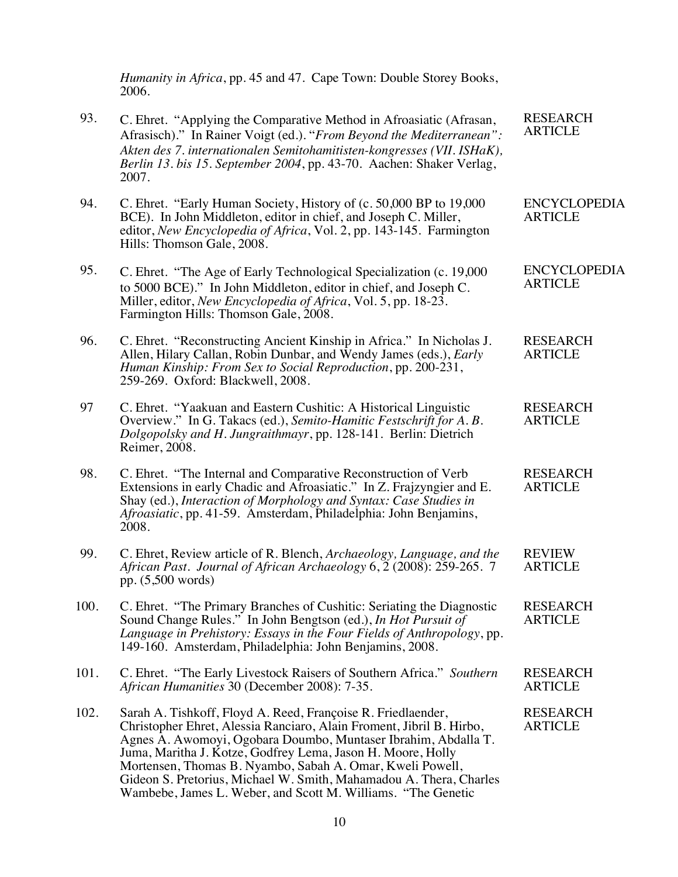*Humanity in Africa*, pp. 45 and 47. Cape Town: Double Storey Books, 2006.

| 93.  | C. Ehret. "Applying the Comparative Method in Afroasiatic (Afrasan,<br>Afrasisch)." In Rainer Voigt (ed.). "From Beyond the Mediterranean":<br>Akten des 7. internationalen Semitohamitisten-kongresses (VII. ISHaK),<br>Berlin 13. bis 15. September 2004, pp. 43-70. Aachen: Shaker Verlag,<br>2007.                                                                                                                                                                   | <b>RESEARCH</b><br><b>ARTICLE</b>     |
|------|--------------------------------------------------------------------------------------------------------------------------------------------------------------------------------------------------------------------------------------------------------------------------------------------------------------------------------------------------------------------------------------------------------------------------------------------------------------------------|---------------------------------------|
| 94.  | C. Ehret. "Early Human Society, History of (c. 50,000 BP to 19,000<br>BCE). In John Middleton, editor in chief, and Joseph C. Miller,<br>editor, New Encyclopedia of Africa, Vol. 2, pp. 143-145. Farmington<br>Hills: Thomson Gale, 2008.                                                                                                                                                                                                                               | <b>ENCYCLOPEDIA</b><br><b>ARTICLE</b> |
| 95.  | C. Ehret. "The Age of Early Technological Specialization (c. 19,000)<br>to 5000 BCE)." In John Middleton, editor in chief, and Joseph C.<br>Miller, editor, New Encyclopedia of Africa, Vol. 5, pp. 18-23.<br>Farmington Hills: Thomson Gale, 2008.                                                                                                                                                                                                                      | <b>ENCYCLOPEDIA</b><br><b>ARTICLE</b> |
| 96.  | C. Ehret. "Reconstructing Ancient Kinship in Africa." In Nicholas J.<br>Allen, Hilary Callan, Robin Dunbar, and Wendy James (eds.), <i>Early</i><br>Human Kinship: From Sex to Social Reproduction, pp. 200-231,<br>259-269. Oxford: Blackwell, 2008.                                                                                                                                                                                                                    | <b>RESEARCH</b><br><b>ARTICLE</b>     |
| 97   | C. Ehret. "Yaakuan and Eastern Cushitic: A Historical Linguistic<br>Overview." In G. Takacs (ed.), Semito-Hamitic Festschrift for A. B.<br>Dolgopolsky and H. Jungraithmayr, pp. 128-141. Berlin: Dietrich<br>Reimer, 2008.                                                                                                                                                                                                                                              | <b>RESEARCH</b><br><b>ARTICLE</b>     |
| 98.  | C. Ehret. "The Internal and Comparative Reconstruction of Verb<br>Extensions in early Chadic and Afroasiatic." In Z. Frajzyngier and E.<br>Shay (ed.), Interaction of Morphology and Syntax: Case Studies in<br>Afroasiatic, pp. 41-59. Amsterdam, Philadelphia: John Benjamins,<br>2008.                                                                                                                                                                                | <b>RESEARCH</b><br><b>ARTICLE</b>     |
| 99.  | C. Ehret, Review article of R. Blench, Archaeology, Language, and the<br>African Past. Journal of African Archaeology 6, 2 (2008): 259-265. 7<br>pp. $(5,500 \text{ words})$                                                                                                                                                                                                                                                                                             | <b>REVIEW</b><br><b>ARTICLE</b>       |
| 100. | C. Ehret. "The Primary Branches of Cushitic: Seriating the Diagnostic<br>Sound Change Rules." In John Bengtson (ed.), In Hot Pursuit of<br>Language in Prehistory: Essays in the Four Fields of Anthropology, pp.<br>149-160. Amsterdam, Philadelphia: John Benjamins, 2008.                                                                                                                                                                                             | <b>RESEARCH</b><br><b>ARTICLE</b>     |
| 101. | C. Ehret. "The Early Livestock Raisers of Southern Africa." Southern<br>African Humanities 30 (December 2008): 7-35.                                                                                                                                                                                                                                                                                                                                                     | <b>RESEARCH</b><br><b>ARTICLE</b>     |
| 102. | Sarah A. Tishkoff, Floyd A. Reed, Françoise R. Friedlaender,<br>Christopher Ehret, Alessia Ranciaro, Alain Froment, Jibril B. Hirbo,<br>Agnes A. Awomoyi, Ogobara Doumbo, Muntaser Ibrahim, Abdalla T.<br>Juma, Maritha J. Kotze, Godfrey Lema, Jason H. Moore, Holly<br>Mortensen, Thomas B. Nyambo, Sabah A. Omar, Kweli Powell,<br>Gideon S. Pretorius, Michael W. Smith, Mahamadou A. Thera, Charles<br>Wambebe, James L. Weber, and Scott M. Williams. "The Genetic | <b>RESEARCH</b><br><b>ARTICLE</b>     |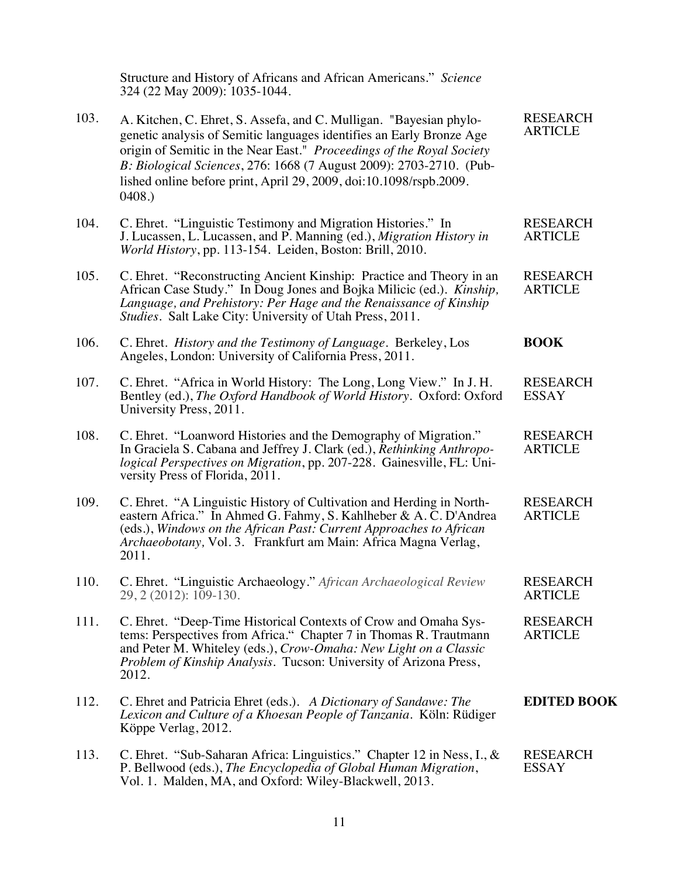|      | Structure and History of Africans and African Americans." Science<br>324 (22 May 2009): 1035-1044.                                                                                                                                                                                                                                                                        |                                   |
|------|---------------------------------------------------------------------------------------------------------------------------------------------------------------------------------------------------------------------------------------------------------------------------------------------------------------------------------------------------------------------------|-----------------------------------|
| 103. | A. Kitchen, C. Ehret, S. Assefa, and C. Mulligan. "Bayesian phylo-<br>genetic analysis of Semitic languages identifies an Early Bronze Age<br>origin of Semitic in the Near East." Proceedings of the Royal Society<br>B: Biological Sciences, 276: 1668 (7 August 2009): 2703-2710. (Pub-<br>lished online before print, April 29, 2009, doi:10.1098/rspb.2009.<br>0408. | <b>RESEARCH</b><br><b>ARTICLE</b> |
| 104. | C. Ehret. "Linguistic Testimony and Migration Histories." In<br>J. Lucassen, L. Lucassen, and P. Manning (ed.), Migration History in<br>World History, pp. 113-154. Leiden, Boston: Brill, 2010.                                                                                                                                                                          | <b>RESEARCH</b><br><b>ARTICLE</b> |
| 105. | C. Ehret. "Reconstructing Ancient Kinship: Practice and Theory in an<br>African Case Study." In Doug Jones and Bojka Milicic (ed.). Kinship,<br>Language, and Prehistory: Per Hage and the Renaissance of Kinship<br>Studies. Salt Lake City: University of Utah Press, 2011.                                                                                             | <b>RESEARCH</b><br><b>ARTICLE</b> |
| 106. | C. Ehret. History and the Testimony of Language. Berkeley, Los<br>Angeles, London: University of California Press, 2011.                                                                                                                                                                                                                                                  | <b>BOOK</b>                       |
| 107. | C. Ehret. "Africa in World History: The Long, Long View." In J. H.<br>Bentley (ed.), The Oxford Handbook of World History. Oxford: Oxford<br>University Press, 2011.                                                                                                                                                                                                      | <b>RESEARCH</b><br><b>ESSAY</b>   |
| 108. | C. Ehret. "Loanword Histories and the Demography of Migration."<br>In Graciela S. Cabana and Jeffrey J. Clark (ed.), Rethinking Anthropo-<br>logical Perspectives on Migration, pp. 207-228. Gainesville, FL: Uni-<br>versity Press of Florida, 2011.                                                                                                                     | <b>RESEARCH</b><br><b>ARTICLE</b> |
| 109. | C. Ehret. "A Linguistic History of Cultivation and Herding in North-<br>eastern Africa." In Ahmed G. Fahmy, S. Kahlheber & A. C. D'Andrea<br>(eds.), Windows on the African Past: Current Approaches to African<br>Archaeobotany, Vol. 3. Frankfurt am Main: Africa Magna Verlag,<br>2011.                                                                                | <b>RESEARCH</b><br><b>ARTICLE</b> |
| 110. | C. Ehret. "Linguistic Archaeology." African Archaeological Review<br>29, 2 (2012): 109-130.                                                                                                                                                                                                                                                                               | <b>RESEARCH</b><br><b>ARTICLE</b> |
| 111. | C. Ehret. "Deep-Time Historical Contexts of Crow and Omaha Sys-<br>tems: Perspectives from Africa." Chapter 7 in Thomas R. Trautmann<br>and Peter M. Whiteley (eds.), Crow-Omaha: New Light on a Classic<br><i>Problem of Kinship Analysis. Tucson: University of Arizona Press,</i><br>2012.                                                                             | <b>RESEARCH</b><br><b>ARTICLE</b> |
| 112. | C. Ehret and Patricia Ehret (eds.). A Dictionary of Sandawe: The<br>Lexicon and Culture of a Khoesan People of Tanzania. Köln: Rüdiger<br>Köppe Verlag, 2012.                                                                                                                                                                                                             | <b>EDITED BOOK</b>                |
| 113. | C. Ehret. "Sub-Saharan Africa: Linguistics." Chapter 12 in Ness, I., &<br>P. Bellwood (eds.), The Encyclopedia of Global Human Migration,<br>Vol. 1. Malden, MA, and Oxford: Wiley-Blackwell, 2013.                                                                                                                                                                       | <b>RESEARCH</b><br><b>ESSAY</b>   |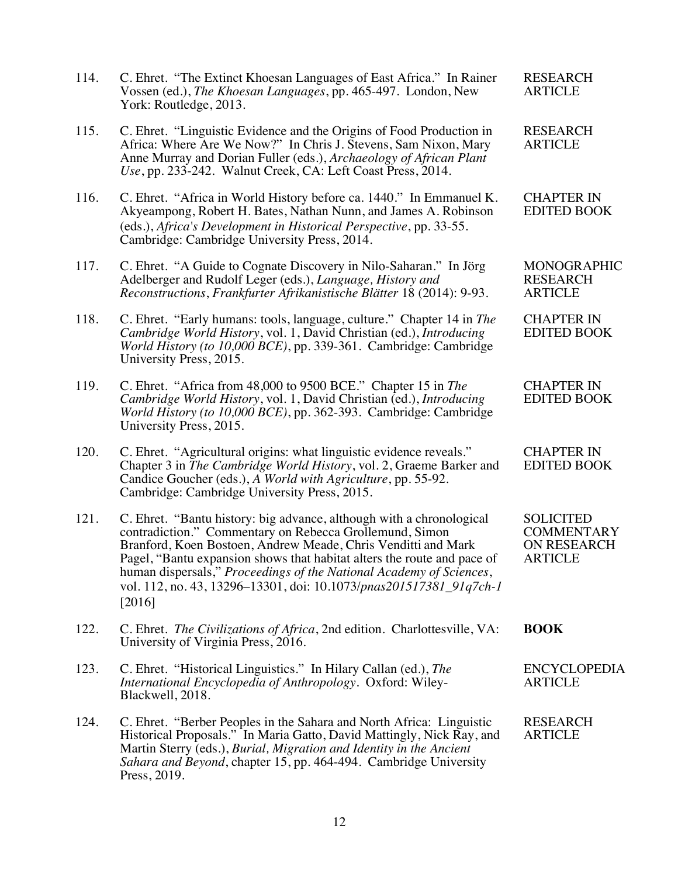| 114. | C. Ehret. "The Extinct Khoesan Languages of East Africa." In Rainer<br>Vossen (ed.), The Khoesan Languages, pp. 465-497. London, New<br>York: Routledge, 2013.                                                                                                                                                                                                                                                                     | <b>RESEARCH</b><br><b>ARTICLE</b>                                      |
|------|------------------------------------------------------------------------------------------------------------------------------------------------------------------------------------------------------------------------------------------------------------------------------------------------------------------------------------------------------------------------------------------------------------------------------------|------------------------------------------------------------------------|
| 115. | C. Ehret. "Linguistic Evidence and the Origins of Food Production in<br>Africa: Where Are We Now?" In Chris J. Stevens, Sam Nixon, Mary<br>Anne Murray and Dorian Fuller (eds.), Archaeology of African Plant<br>Use, pp. 233-242. Walnut Creek, CA: Left Coast Press, 2014.                                                                                                                                                       | <b>RESEARCH</b><br><b>ARTICLE</b>                                      |
| 116. | C. Ehret. "Africa in World History before ca. 1440." In Emmanuel K.<br>Akyeampong, Robert H. Bates, Nathan Nunn, and James A. Robinson<br>(eds.), Africa's Development in Historical Perspective, pp. 33-55.<br>Cambridge: Cambridge University Press, 2014.                                                                                                                                                                       | <b>CHAPTER IN</b><br><b>EDITED BOOK</b>                                |
| 117. | C. Ehret. "A Guide to Cognate Discovery in Nilo-Saharan." In Jörg<br>Adelberger and Rudolf Leger (eds.), Language, History and<br>Reconstructions, Frankfurter Afrikanistische Blätter 18 (2014): 9-93.                                                                                                                                                                                                                            | <b>MONOGRAPHIC</b><br><b>RESEARCH</b><br><b>ARTICLE</b>                |
| 118. | C. Ehret. "Early humans: tools, language, culture." Chapter 14 in The<br>Cambridge World History, vol. 1, David Christian (ed.), Introducing<br>World History (to 10,000 BCE), pp. 339-361. Cambridge: Cambridge<br>University Press, 2015.                                                                                                                                                                                        | <b>CHAPTER IN</b><br><b>EDITED BOOK</b>                                |
| 119. | C. Ehret. "Africa from 48,000 to 9500 BCE." Chapter 15 in The<br>Cambridge World History, vol. 1, David Christian (ed.), Introducing<br>World History (to 10,000 BCE), pp. 362-393. Cambridge: Cambridge<br>University Press, 2015.                                                                                                                                                                                                | <b>CHAPTER IN</b><br><b>EDITED BOOK</b>                                |
| 120. | C. Ehret. "Agricultural origins: what linguistic evidence reveals."<br>Chapter 3 in The Cambridge World History, vol. 2, Graeme Barker and<br>Candice Goucher (eds.), A World with Agriculture, pp. 55-92.<br>Cambridge: Cambridge University Press, 2015.                                                                                                                                                                         | <b>CHAPTER IN</b><br><b>EDITED BOOK</b>                                |
| 121. | C. Ehret. "Bantu history: big advance, although with a chronological<br>contradiction." Commentary on Rebecca Grollemund, Simon<br>Branford, Koen Bostoen, Andrew Meade, Chris Venditti and Mark<br>Pagel, "Bantu expansion shows that habitat alters the route and pace of<br>human dispersals," Proceedings of the National Academy of Sciences,<br>vol. 112, no. 43, 13296–13301, doi: 10.1073/pnas201517381 91q7ch-1<br>[2016] | <b>SOLICITED</b><br><b>COMMENTARY</b><br>ON RESEARCH<br><b>ARTICLE</b> |
| 122. | C. Ehret. The Civilizations of Africa, 2nd edition. Charlottesville, VA:<br>University of Virginia Press, 2016.                                                                                                                                                                                                                                                                                                                    | <b>BOOK</b>                                                            |
| 123. | C. Ehret. "Historical Linguistics." In Hilary Callan (ed.), The<br>International Encyclopedia of Anthropology. Oxford: Wiley-<br>Blackwell, 2018.                                                                                                                                                                                                                                                                                  | <b>ENCYCLOPEDIA</b><br><b>ARTICLE</b>                                  |
| 124. | C. Ehret. "Berber Peoples in the Sahara and North Africa: Linguistic<br>Historical Proposals." In Maria Gatto, David Mattingly, Nick Ray, and<br>Martin Sterry (eds.), Burial, Migration and Identity in the Ancient<br>Sahara and Beyond, chapter 15, pp. 464-494. Cambridge University<br>Press, 2019.                                                                                                                           | <b>RESEARCH</b><br><b>ARTICLE</b>                                      |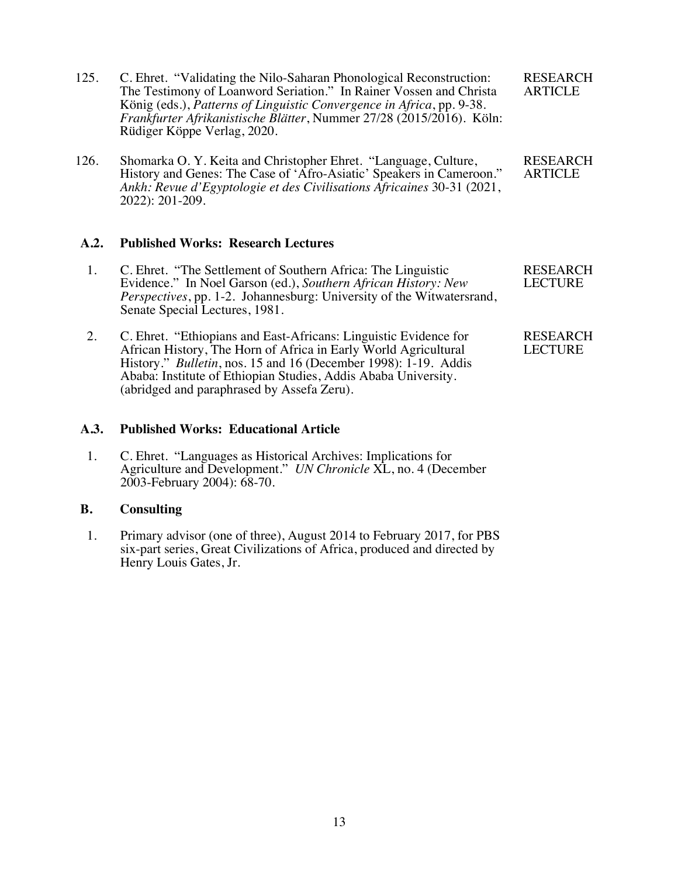- 125. C. Ehret. "Validating the Nilo-Saharan Phonological Reconstruction: The Testimony of Loanword Seriation." In Rainer Vossen and Christa König (eds.), *Patterns of Linguistic Convergence in Africa*, pp. 9-38. *Frankfurter Afrikanistische Blätter*, Nummer 27/28 (2015/2016). Köln: Rüdiger Köppe Verlag, 2020. RESEARCH ARTICLE
- 126. Shomarka O. Y. Keita and Christopher Ehret. "Language, Culture, History and Genes: The Case of 'Afro-Asiatic' Speakers in Cameroon." *Ankh: Revue d'Egyptologie et des Civilisations Africaines* 30-31 (2021, 2022): 201-209.

## **A.2. Published Works: Research Lectures**

- 1. C. Ehret. "The Settlement of Southern Africa: The Linguistic Evidence." In Noel Garson (ed.), *Southern African History: New Perspectives*, pp. 1-2. Johannesburg: University of the Witwatersrand, Senate Special Lectures, 1981. RESEARCH LECTURE
- 2. C. Ehret. "Ethiopians and East-Africans: Linguistic Evidence for African History, The Horn of Africa in Early World Agricultural History." *Bulletin*, nos. 15 and 16 (December 1998): 1-19. Addis Ababa: Institute of Ethiopian Studies, Addis Ababa University. (abridged and paraphrased by Assefa Zeru). RESEARCH LECTURE

## **A.3. Published Works: Educational Article**

 1. C. Ehret. "Languages as Historical Archives: Implications for Agriculture and Development." *UN Chronicle* XL, no. 4 (December 2003-February 2004): 68-70.

## **B. Consulting**

 1. Primary advisor (one of three), August 2014 to February 2017, for PBS six-part series, Great Civilizations of Africa, produced and directed by Henry Louis Gates, Jr.

RESEARCH

ARTICLE

13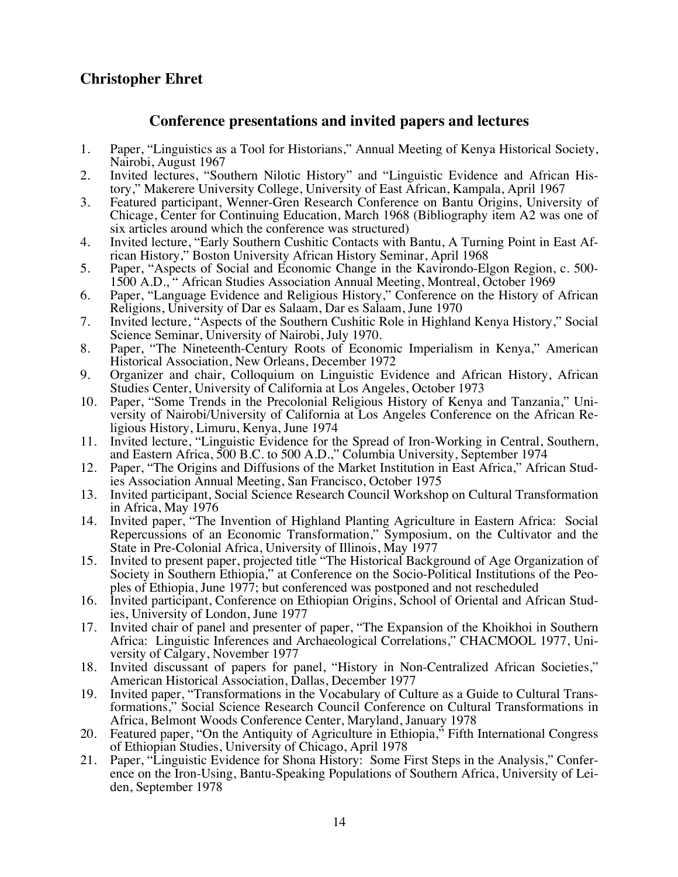# **Christopher Ehret**

# **Conference presentations and invited papers and lectures**

- 1. Paper, "Linguistics as a Tool for Historians," Annual Meeting of Kenya Historical Society, Nairobi, August 1967
- 2. Invited lectures, "Southern Nilotic History" and "Linguistic Evidence and African History," Makerere University College, University of East African, Kampala, April 1967
- 3. Featured participant, Wenner-Gren Research Conference on Bantu Origins, University of Chicage, Center for Continuing Education, March 1968 (Bibliography item A2 was one of six articles around which the conference was structured)
- 4. Invited lecture, "Early Southern Cushitic Contacts with Bantu, A Turning Point in East African History," Boston University African History Seminar, April 1968
- 5. Paper, "Aspects of Social and Economic Change in the Kavirondo-Elgon Region, c. 500- 1500 A.D., " African Studies Association Annual Meeting, Montreal, October 1969
- 6. Paper, "Language Evidence and Religious History," Conference on the History of African Religions, University of Dar es Salaam, Dar es Salaam, June 1970
- 7. Invited lecture, "Aspects of the Southern Cushitic Role in Highland Kenya History," Social Science Seminar, University of Nairobi, July 1970.
- 8. Paper, "The Nineteenth-Century Roots of Economic Imperialism in Kenya," American Historical Association, New Orleans, December 1972
- 9. Organizer and chair, Colloquium on Linguistic Evidence and African History, African Studies Center, University of California at Los Angeles, October 1973
- 10. Paper, "Some Trends in the Precolonial Religious History of Kenya and Tanzania," University of Nairobi/University of California at Los Angeles Conference on the African Religious History, Limuru, Kenya, June 1974
- 11. Invited lecture, "Linguistic Evidence for the Spread of Iron-Working in Central, Southern, and Eastern Africa, 500 B.C. to 500 A.D.," Columbia University, September 1974
- 12. Paper, "The Origins and Diffusions of the Market Institution in East Africa," African Studies Association Annual Meeting, San Francisco, October 1975
- 13. Invited participant, Social Science Research Council Workshop on Cultural Transformation in Africa, May 1976
- 14. Invited paper, "The Invention of Highland Planting Agriculture in Eastern Africa: Social Repercussions of an Economic Transformation," Symposium, on the Cultivator and the State in Pre-Colonial Africa, University of Illinois, May 1977
- 15. Invited to present paper, projected title "The Historical Background of Age Organization of Society in Southern Ethiopia," at Conference on the Socio-Political Institutions of the Peo-<br>ples of Ethiopia, June 1977; but conferenced was postponed and not rescheduled
- 16. Invited participant, Conference on Ethiopian Origins, School of Oriental and African Stud- ies, University of London, June 1977
- 17. Invited chair of panel and presenter of paper, "The Expansion of the Khoikhoi in Southern Africa: Linguistic Inferences and Archaeological Correlations," CHACMOOL 1977, Uni- versity of Calgary, November 1977
- 18. Invited discussant of papers for panel, "History in Non-Centralized African Societies," American Historical Association, Dallas, December 1977<br>19. Invited paper, "Transformations in the Vocabulary of Culture as a Guide to Cultural Trans-
- formations," Social Science Research Council Conference on Cultural Transformations in Africa, Belmont Woods Conference Center, Maryland, January 1978
- 20. Featured paper, "On the Antiquity of Agriculture in Ethiopia," Fifth International Congress of Ethiopian Studies, University of Chicago, April 1978
- 21. Paper, "Linguistic Evidence for Shona History: Some First Steps in the Analysis," Confer- ence on the Iron-Using, Bantu-Speaking Populations of Southern Africa, University of Lei- den, September 1978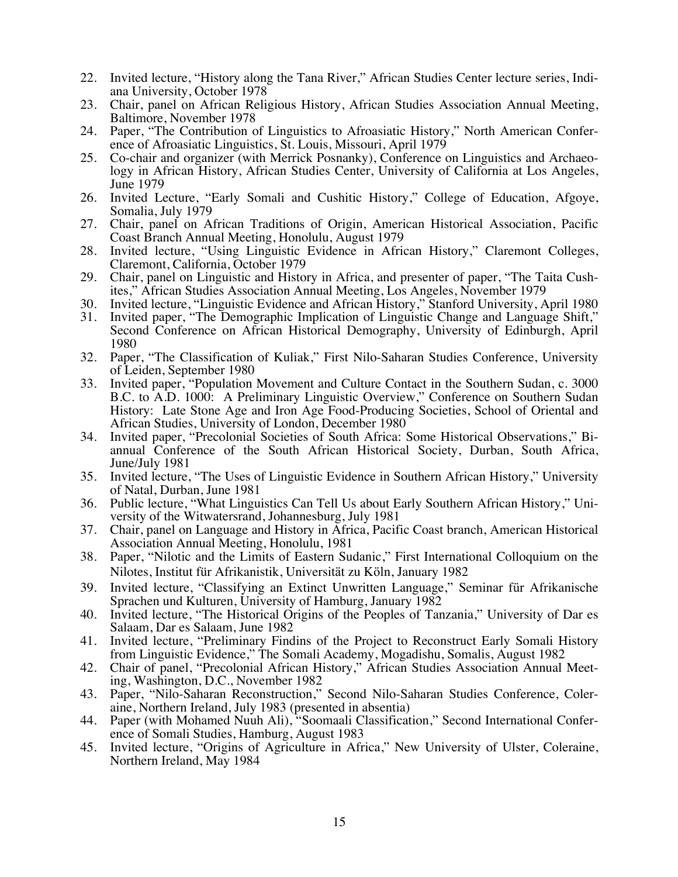- 22. Invited lecture, "History along the Tana River," African Studies Center lecture series, Indiana University, October 1978
- 23. Chair, panel on African Religious History, African Studies Association Annual Meeting, Baltimore, November 1978
- 24. Paper, "The Contribution of Linguistics to Afroasiatic History," North American Conference of Afroasiatic Linguistics, St. Louis, Missouri, April 1979
- 25. Co-chair and organizer (with Merrick Posnanky), Conference on Linguistics and Archaeology in African History, African Studies Center, University of California at Los Angeles, June 1979
- 26. Invited Lecture, "Early Somali and Cushitic History," College of Education, Afgoye, Somalia, July 1979
- 27. Chair, panel on African Traditions of Origin, American Historical Association, Pacific Coast Branch Annual Meeting, Honolulu, August 1979
- 28. Invited lecture, "Using Linguistic Evidence in African History," Claremont Colleges, Claremont, California, October 1979
- 29. Chair, panel on Linguistic and History in Africa, and presenter of paper, "The Taita Cushites," African Studies Association Annual Meeting, Los Angeles, November 1979
- 30. Invited lecture, "Linguistic Evidence and African History," Stanford University, April 1980
- 31. Invited paper, "The Demographic Implication of Linguistic Change and Language Shift," Second Conference on African Historical Demography, University of Edinburgh, April 1980
- 32. Paper, "The Classification of Kuliak," First Nilo-Saharan Studies Conference, University of Leiden, September 1980
- 33. Invited paper, "Population Movement and Culture Contact in the Southern Sudan, c. 3000 B.C. to A.D. 1000: A Preliminary Linguistic Overview," Conference on Southern Sudan History: Late Stone Age and Iron Age Food-Producing Societies, School of Oriental and African Studies, University of London, December 1980
- 34. Invited paper, "Precolonial Societies of South Africa: Some Historical Observations," Biannual Conference of the South African Historical Society, Durban, South Africa, June/July 1981
- 35. Invited lecture, "The Uses of Linguistic Evidence in Southern African History," University of Natal, Durban, June 1981
- 36. Public lecture, "What Linguistics Can Tell Us about Early Southern African History," University of the Witwatersrand, Johannesburg, July 1981
- 37. Chair, panel on Language and History in Africa, Pacific Coast branch, American Historical Association Annual Meeting, Honolulu, 1981
- 38. Paper, "Nilotic and the Limits of Eastern Sudanic," First International Colloquium on the Nilotes, Institut für Afrikanistik, Universität zu Köln, January 1982
- 39. Invited lecture, "Classifying an Extinct Unwritten Language," Seminar für Afrikanische Sprachen und Kulturen, University of Hamburg, January 1982
- 40. Invited lecture, "The Historical Origins of the Peoples of Tanzania," University of Dar es Salaam, Dar es Salaam, June 1982
- 41. Invited lecture, "Preliminary Findins of the Project to Reconstruct Early Somali History from Linguistic Evidence," The Somali Academy, Mogadishu, Somalis, August 1982
- 42. Chair of panel, "Precolonial African History," African Studies Association Annual Meet- ing, Washington, D.C., November 1982
- 43. Paper, "Nilo-Saharan Reconstruction," Second Nilo-Saharan Studies Conference, Coleraine, Northern Ireland, July 1983 (presented in absentia)
- 44. Paper (with Mohamed Nuuh Ali), "Soomaali Classification," Second International Conference of Somali Studies, Hamburg, August 1983
- 45. Invited lecture, "Origins of Agriculture in Africa," New University of Ulster, Coleraine, Northern Ireland, May 1984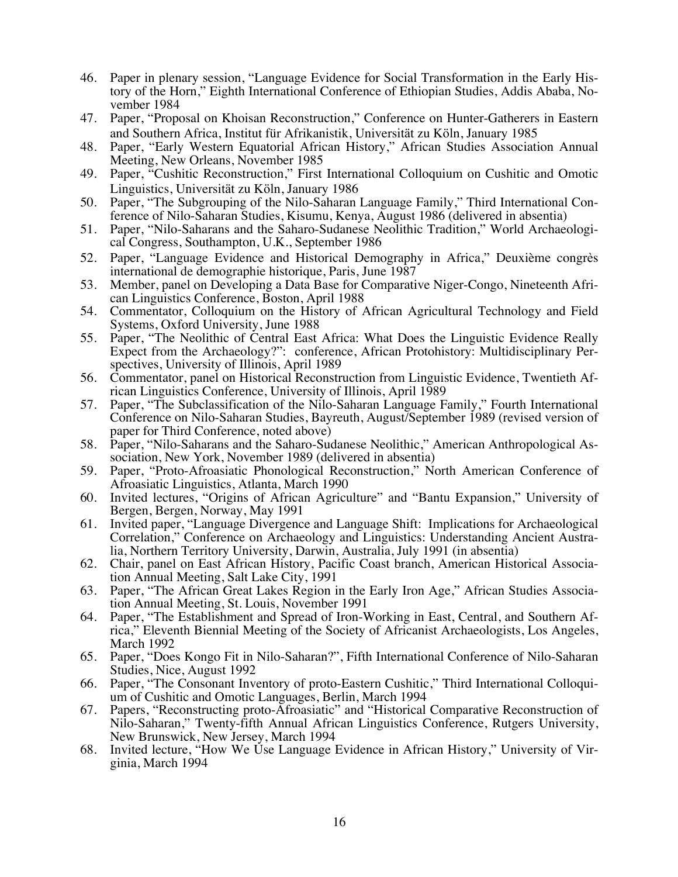- 46. Paper in plenary session, "Language Evidence for Social Transformation in the Early History of the Horn," Eighth International Conference of Ethiopian Studies, Addis Ababa, November 1984
- 47. Paper, "Proposal on Khoisan Reconstruction," Conference on Hunter-Gatherers in Eastern and Southern Africa, Institut für Afrikanistik, Universität zu Köln, January 1985
- 48. Paper, "Early Western Equatorial African History," African Studies Association Annual Meeting, New Orleans, November 1985
- 49. Paper, "Cushitic Reconstruction," First International Colloquium on Cushitic and Omotic Linguistics, Universität zu Köln, January 1986
- 50. Paper, "The Subgrouping of the Nilo-Saharan Language Family," Third International Con- ference of Nilo-Saharan Studies, Kisumu, Kenya, August 1986 (delivered in absentia)
- 51. Paper, "Nilo-Saharans and the Saharo-Sudanese Neolithic Tradition," World Archaeologi- cal Congress, Southampton, U.K., September 1986
- 52. Paper, "Language Evidence and Historical Demography in Africa," Deuxième congrès international de demographie historique, Paris, June 1987
- 53. Member, panel on Developing a Data Base for Comparative Niger-Congo, Nineteenth African Linguistics Conference, Boston, April 1988
- 54. Commentator, Colloquium on the History of African Agricultural Technology and Field Systems, Oxford University, June 1988
- 55. Paper, "The Neolithic of Central East Africa: What Does the Linguistic Evidence Really Expect from the Archaeology?": conference, African Protohistory: Multidisciplinary Perspectives, University of Illinois, April 1989
- 56. Commentator, panel on Historical Reconstruction from Linguistic Evidence, Twentieth African Linguistics Conference, University of Illinois, April 1989
- 57. Paper, "The Subclassification of the Nilo-Saharan Language Family," Fourth International Conference on Nilo-Saharan Studies, Bayreuth, August/September 1989 (revised version of paper for Third Conference, noted above)
- 58. Paper, "Nilo-Saharans and the Saharo-Sudanese Neolithic," American Anthropological Association, New York, November 1989 (delivered in absentia)
- 59. Paper, "Proto-Afroasiatic Phonological Reconstruction," North American Conference of Afroasiatic Linguistics, Atlanta, March 1990
- 60. Invited lectures, "Origins of African Agriculture" and "Bantu Expansion," University of Bergen, Bergen, Norway, May 1991
- 61. Invited paper, "Language Divergence and Language Shift: Implications for Archaeological Correlation," Conference on Archaeology and Linguistics: Understanding Ancient Australia, Northern Territory University, Darwin, Australia, July 1991 (in absentia)
- 62. Chair, panel on East African History, Pacific Coast branch, American Historical Association Annual Meeting, Salt Lake City, 1991
- 63. Paper, "The African Great Lakes Region in the Early Iron Age," African Studies Association Annual Meeting, St. Louis, November 1991
- 64. Paper, "The Establishment and Spread of Iron-Working in East, Central, and Southern Africa," Eleventh Biennial Meeting of the Society of Africanist Archaeologists, Los Angeles, March 1992
- 65. Paper, "Does Kongo Fit in Nilo-Saharan?", Fifth International Conference of Nilo-Saharan Studies, Nice, August 1992
- 66. Paper, "The Consonant Inventory of proto-Eastern Cushitic," Third International Colloquium of Cushitic and Omotic Languages, Berlin, March 1994
- 67. Papers, "Reconstructing proto-Afroasiatic" and "Historical Comparative Reconstruction of Nilo-Saharan," Twenty-fifth Annual African Linguistics Conference, Rutgers University, New Brunswick, New Jersey, March 1994
- 68. Invited lecture, "How We Use Language Evidence in African History," University of Virginia, March 1994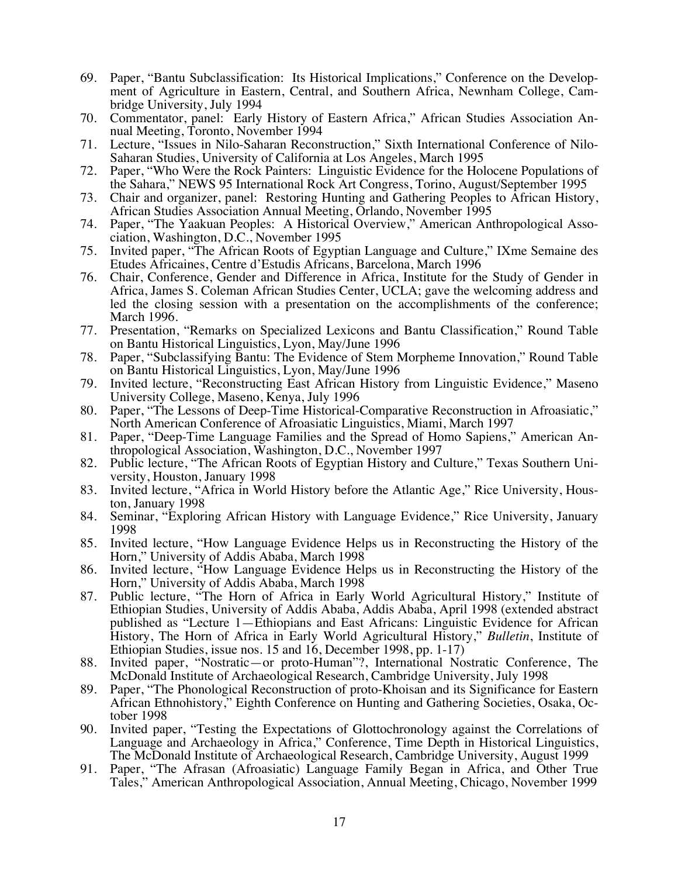- 69. Paper, "Bantu Subclassification: Its Historical Implications," Conference on the Development of Agriculture in Eastern, Central, and Southern Africa, Newnham College, Cambridge University, July 1994
- 70. Commentator, panel: Early History of Eastern Africa," African Studies Association Annual Meeting, Toronto, November 1994
- 71. Lecture, "Issues in Nilo-Saharan Reconstruction," Sixth International Conference of Nilo-Saharan Studies, University of California at Los Angeles, March 1995
- 72. Paper, "Who Were the Rock Painters: Linguistic Evidence for the Holocene Populations of the Sahara," NEWS 95 International Rock Art Congress, Torino, August/September 1995
- 73. Chair and organizer, panel: Restoring Hunting and Gathering Peoples to African History, African Studies Association Annual Meeting, Orlando, November 1995
- 74. Paper, "The Yaakuan Peoples: A Historical Overview," American Anthropological Association, Washington, D.C., November 1995
- 75. Invited paper, "The African Roots of Egyptian Language and Culture," IXme Semaine des Etudes Africaines, Centre d'Estudis Africans, Barcelona, March 1996
- 76. Chair, Conference, Gender and Difference in Africa, Institute for the Study of Gender in Africa, James S. Coleman African Studies Center, UCLA; gave the welcoming address and led the closing session with a presentation on the accomplishments of the conference; March 1996.
- 77. Presentation, "Remarks on Specialized Lexicons and Bantu Classification," Round Table on Bantu Historical Linguistics, Lyon, May/June 1996
- 78. Paper, "Subclassifying Bantu: The Evidence of Stem Morpheme Innovation," Round Table on Bantu Historical Linguistics, Lyon, May/June 1996
- 79. Invited lecture, "Reconstructing East African History from Linguistic Evidence," Maseno University College, Maseno, Kenya, July 1996
- 80. Paper, "The Lessons of Deep-Time Historical-Comparative Reconstruction in Afroasiatic," North American Conference of Afroasiatic Linguistics, Miami, March 1997
- 81. Paper, "Deep-Time Language Families and the Spread of Homo Sapiens," American Anthropological Association, Washington, D.C., November 1997
- 82. Public lecture, "The African Roots of Egyptian History and Culture," Texas Southern University, Houston, January 1998
- 83. Invited lecture, "Africa in World History before the Atlantic Age," Rice University, Houston, January 1998
- 84. Seminar, "Exploring African History with Language Evidence," Rice University, January 1998
- 85. Invited lecture, "How Language Evidence Helps us in Reconstructing the History of the Horn," University of Addis Ababa, March 1998
- 86. Invited lecture, "How Language Evidence Helps us in Reconstructing the History of the Horn," University of Addis Ababa, March 1998
- 87. Public lecture, "The Horn of Africa in Early World Agricultural History," Institute of Ethiopian Studies, University of Addis Ababa, Addis Ababa, April 1998 (extended abstract published as "Lecture 1—Ethiopians and East Africans: Linguistic Evidence for African History, The Horn of Africa in Early World Agricultural History," *Bulletin*, Institute of Ethiopian Studies, issue nos. 15 and 16, December 1998, pp. 1-17)
- 88. Invited paper, "Nostratic—or proto-Human"?, International Nostratic Conference, The McDonald Institute of Archaeological Research, Cambridge University, July 1998
- 89. Paper, "The Phonological Reconstruction of proto-Khoisan and its Significance for Eastern African Ethnohistory," Eighth Conference on Hunting and Gathering Societies, Osaka, October 1998
- 90. Invited paper, "Testing the Expectations of Glottochronology against the Correlations of Language and Archaeology in Africa," Conference, Time Depth in Historical Linguistics, The McDonald Institute of Archaeological Research, Cambridge University, August 1999
- 91. Paper, "The Afrasan (Afroasiatic) Language Family Began in Africa, and Other True Tales," American Anthropological Association, Annual Meeting, Chicago, November 1999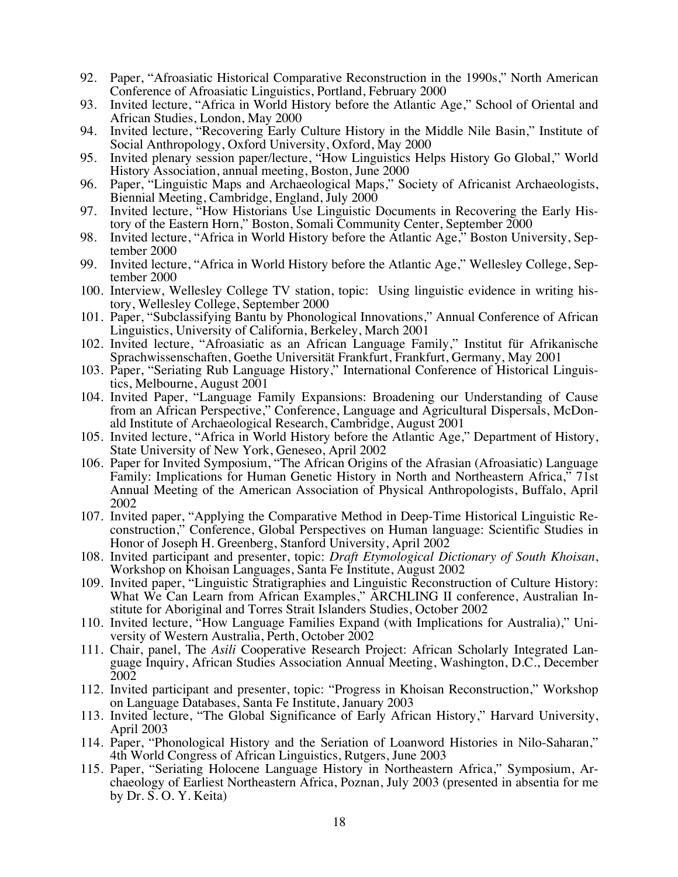- 92. Paper, "Afroasiatic Historical Comparative Reconstruction in the 1990s," North American Conference of Afroasiatic Linguistics, Portland, February 2000
- 93. Invited lecture, "Africa in World History before the Atlantic Age," School of Oriental and African Studies, London, May 2000
- 94. Invited lecture, "Recovering Early Culture History in the Middle Nile Basin," Institute of Social Anthropology, Oxford University, Oxford, May 2000
- 95. Invited plenary session paper/lecture, "How Linguistics Helps History Go Global," World History Association, annual meeting, Boston, June 2000
- 96. Paper, "Linguistic Maps and Archaeological Maps," Society of Africanist Archaeologists, Biennial Meeting, Cambridge, England, July 2000
- 97. Invited lecture, "How Historians Use Linguistic Documents in Recovering the Early History of the Eastern Horn," Boston, Somali Community Center, September 2000
- 98. Invited lecture, "Africa in World History before the Atlantic Age," Boston University, September 2000
- 99. Invited lecture, "Africa in World History before the Atlantic Age," Wellesley College, September 2000
- 100. Interview, Wellesley College TV station, topic: Using linguistic evidence in writing history, Wellesley College, September 2000
- 101. Paper, "Subclassifying Bantu by Phonological Innovations," Annual Conference of African Linguistics, University of California, Berkeley, March 2001
- 102. Invited lecture, "Afroasiatic as an African Language Family," Institut für Afrikanische Sprachwissenschaften, Goethe Universität Frankfurt, Frankfurt, Germany, May 2001
- 103. Paper, "Seriating Rub Language History," International Conference of Historical Linguistics, Melbourne, August 2001
- 104. Invited Paper, "Language Family Expansions: Broadening our Understanding of Cause from an African Perspective," Conference, Language and Agricultural Dispersals, McDonald Institute of Archaeological Research, Cambridge, August 2001
- 105. Invited lecture, "Africa in World History before the Atlantic Age," Department of History, State University of New York, Geneseo, April 2002
- 106. Paper for Invited Symposium, "The African Origins of the Afrasian (Afroasiatic) Language Family: Implications for Human Genetic History in North and Northeastern Africa," 71st Annual Meeting of the American Association of Physical Anthropologists, Buffalo, April 2002
- 107. Invited paper, "Applying the Comparative Method in Deep-Time Historical Linguistic Reconstruction," Conference, Global Perspectives on Human language: Scientific Studies in Honor of Joseph H. Greenberg, Stanford University, April 2002
- 108. Invited participant and presenter, topic: *Draft Etymological Dictionary of South Khoisan*, Workshop on Khoisan Languages, Santa Fe Institute, August 2002
- 109. Invited paper, "Linguistic Stratigraphies and Linguistic Reconstruction of Culture History: What We Can Learn from African Examples," ARCHLING II conference, Australian Institute for Aboriginal and Torres Strait Islanders Studies, October 2002
- 110. Invited lecture, "How Language Families Expand (with Implications for Australia)," University of Western Australia, Perth, October 2002
- 111. Chair, panel, The *Asili* Cooperative Research Project: African Scholarly Integrated Language Inquiry, African Studies Association Annual Meeting, Washington, D.C., December 2002
- 112. Invited participant and presenter, topic: "Progress in Khoisan Reconstruction," Workshop on Language Databases, Santa Fe Institute, January 2003
- 113. Invited lecture, "The Global Significance of Early African History," Harvard University, April 2003
- 114. Paper, "Phonological History and the Seriation of Loanword Histories in Nilo-Saharan," 4th World Congress of African Linguistics, Rutgers, June 2003
- 115. Paper, "Seriating Holocene Language History in Northeastern Africa," Symposium, Archaeology of Earliest Northeastern Africa, Poznan, July 2003 (presented in absentia for me by Dr. S. O. Y. Keita)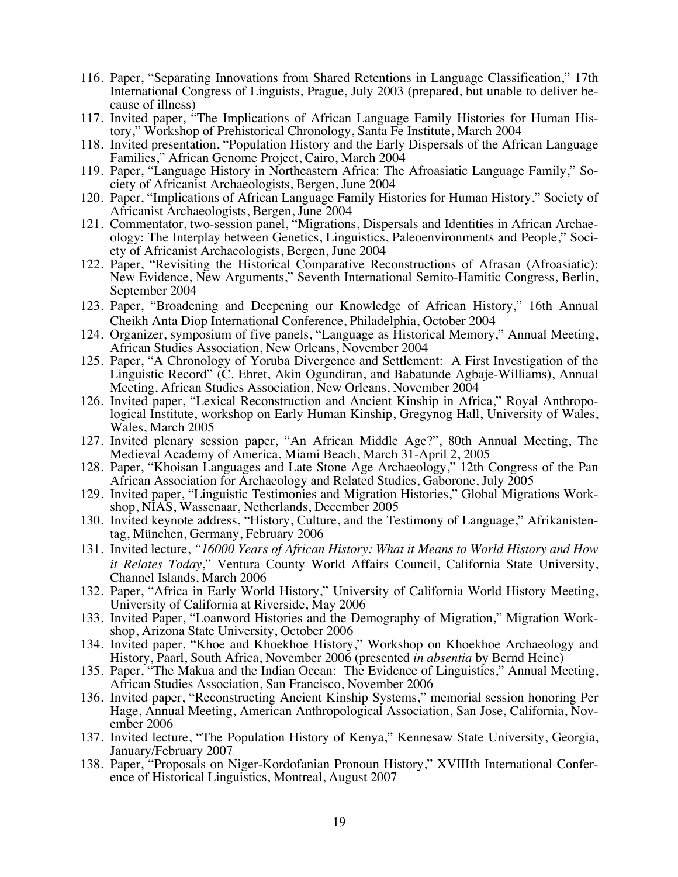- 116. Paper, "Separating Innovations from Shared Retentions in Language Classification," 17th International Congress of Linguists, Prague, July 2003 (prepared, but unable to deliver because of illness)
- 117. Invited paper, "The Implications of African Language Family Histories for Human History," Workshop of Prehistorical Chronology, Santa Fe Institute, March 2004
- 118. Invited presentation, "Population History and the Early Dispersals of the African Language Families," African Genome Project, Cairo, March 2004
- 119. Paper, "Language History in Northeastern Africa: The Afroasiatic Language Family," Society of Africanist Archaeologists, Bergen, June 2004
- 120. Paper, "Implications of African Language Family Histories for Human History," Society of Africanist Archaeologists, Bergen, June 2004
- 121. Commentator, two-session panel, "Migrations, Dispersals and Identities in African Archaeology: The Interplay between Genetics, Linguistics, Paleoenvironments and People," Society of Africanist Archaeologists, Bergen, June 2004
- 122. Paper, "Revisiting the Historical Comparative Reconstructions of Afrasan (Afroasiatic): New Evidence, New Arguments," Seventh International Semito-Hamitic Congress, Berlin, September 2004
- 123. Paper, "Broadening and Deepening our Knowledge of African History," 16th Annual Cheikh Anta Diop International Conference, Philadelphia, October 2004
- 124. Organizer, symposium of five panels, "Language as Historical Memory," Annual Meeting, African Studies Association, New Orleans, November 2004
- 125. Paper, "A Chronology of Yoruba Divergence and Settlement: A First Investigation of the Linguistic Record" (C. Ehret, Akin Ogundiran, and Babatunde Agbaje-Williams), Annual Meeting, African Studies Association, New Orleans, November 2004
- 126. Invited paper, "Lexical Reconstruction and Ancient Kinship in Africa," Royal Anthropo- logical Institute, workshop on Early Human Kinship, Gregynog Hall, University of Wales, Wales, March 2005
- 127. Invited plenary session paper, "An African Middle Age?", 80th Annual Meeting, The Medieval Academy of America, Miami Beach, March 31-April 2, 2005
- 128. Paper, "Khoisan Languages and Late Stone Age Archaeology," 12th Congress of the Pan African Association for Archaeology and Related Studies, Gaborone, July 2005
- 129. Invited paper, "Linguistic Testimonies and Migration Histories," Global Migrations Workshop, NIAS, Wassenaar, Netherlands, December 2005
- 130. Invited keynote address, "History, Culture, and the Testimony of Language," Afrikanistentag, München, Germany, February 2006
- 131. Invited lecture, *"16000 Years of African History: What it Means to World History and How it Relates Today*," Ventura County World Affairs Council, California State University, Channel Islands, March 2006
- 132. Paper, "Africa in Early World History," University of California World History Meeting, University of California at Riverside, May 2006
- 133. Invited Paper, "Loanword Histories and the Demography of Migration," Migration Work- shop, Arizona State University, October 2006
- 134. Invited paper, "Khoe and Khoekhoe History," Workshop on Khoekhoe Archaeology and History, Paarl, South Africa, November 2006 (presented *in absentia* by Bernd Heine)
- 135. Paper, "The Makua and the Indian Ocean: The Evidence of Linguistics," Annual Meeting, African Studies Association, San Francisco, November 2006
- 136. Invited paper, "Reconstructing Ancient Kinship Systems," memorial session honoring Per Hage, Annual Meeting, American Anthropological Association, San Jose, California, Nov- ember 2006
- 137. Invited lecture, "The Population History of Kenya," Kennesaw State University, Georgia, January/February 2007
- 138. Paper, "Proposals on Niger-Kordofanian Pronoun History," XVIIIth International Confer- ence of Historical Linguistics, Montreal, August 2007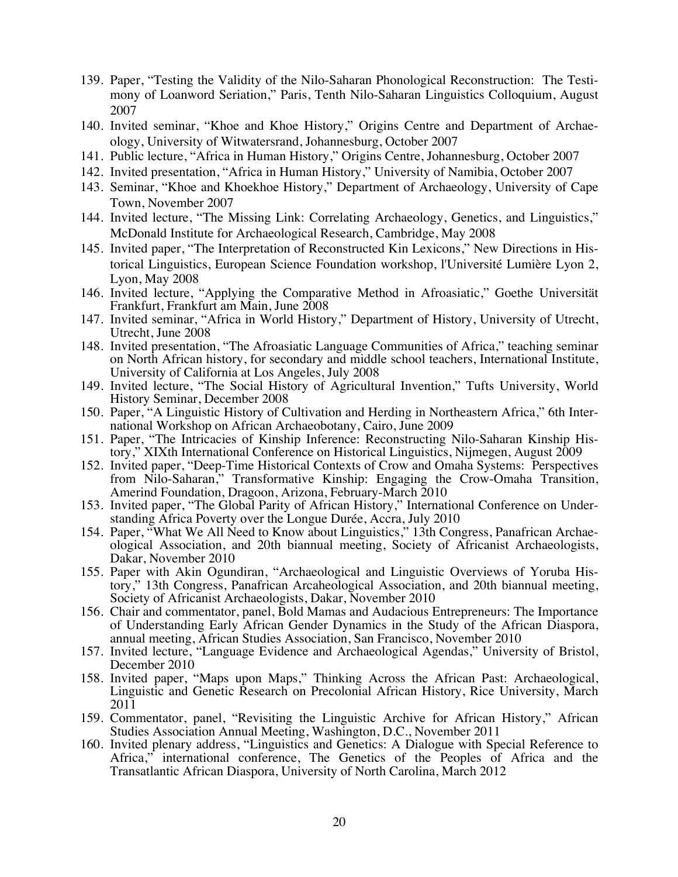- 139. Paper, "Testing the Validity of the Nilo-Saharan Phonological Reconstruction: The Testimony of Loanword Seriation," Paris, Tenth Nilo-Saharan Linguistics Colloquium, August 2007
- 140. Invited seminar, "Khoe and Khoe History," Origins Centre and Department of Archaeology, University of Witwatersrand, Johannesburg, October 2007
- 141. Public lecture, "Africa in Human History," Origins Centre, Johannesburg, October 2007
- 142. Invited presentation, "Africa in Human History," University of Namibia, October 2007
- 143. Seminar, "Khoe and Khoekhoe History," Department of Archaeology, University of Cape Town, November 2007
- 144. Invited lecture, "The Missing Link: Correlating Archaeology, Genetics, and Linguistics," McDonald Institute for Archaeological Research, Cambridge, May 2008
- 145. Invited paper, "The Interpretation of Reconstructed Kin Lexicons," New Directions in Historical Linguistics, European Science Foundation workshop, l'Université Lumière Lyon 2, Lyon, May 2008
- 146. Invited lecture, "Applying the Comparative Method in Afroasiatic," Goethe Universität Frankfurt, Frankfurt am Main, June 2008
- 147. Invited seminar, "Africa in World History," Department of History, University of Utrecht, Utrecht, June 2008
- 148. Invited presentation, "The Afroasiatic Language Communities of Africa," teaching seminar on North African history, for secondary and middle school teachers, International Institute, University of California at Los Angeles, July 2008
- 149. Invited lecture, "The Social History of Agricultural Invention," Tufts University, World History Seminar, December 2008
- 150. Paper, "A Linguistic History of Cultivation and Herding in Northeastern Africa," 6th Inter- national Workshop on African Archaeobotany, Cairo, June 2009
- 151. Paper, "The Intricacies of Kinship Inference: Reconstructing Nilo-Saharan Kinship His- tory," XIXth International Conference on Historical Linguistics, Nijmegen, August 2009
- 152. Invited paper, "Deep-Time Historical Contexts of Crow and Omaha Systems: Perspectives from Nilo-Saharan," Transformative Kinship: Engaging the Crow-Omaha Transition, Amerind Foundation, Dragoon, Arizona, February-March 2010
- 153. Invited paper, "The Global Parity of African History," International Conference on Understanding Africa Poverty over the Longue Durée, Accra, July 2010
- 154. Paper, "What We All Need to Know about Linguistics," 13th Congress, Panafrican Archaeological Association, and 20th biannual meeting, Society of Africanist Archaeologists, Dakar, November 2010
- 155. Paper with Akin Ogundiran, "Archaeological and Linguistic Overviews of Yoruba History," 13th Congress, Panafrican Arcaheological Association, and 20th biannual meeting, Society of Africanist Archaeologists, Dakar, November 2010
- 156. Chair and commentator, panel, Bold Mamas and Audacious Entrepreneurs: The Importance of Understanding Early African Gender Dynamics in the Study of the African Diaspora, annual meeting, African Studies Association, San Francisco, November 2010
- 157. Invited lecture, "Language Evidence and Archaeological Agendas," University of Bristol, December 2010
- 158. Invited paper, "Maps upon Maps," Thinking Across the African Past: Archaeological, Linguistic and Genetic Research on Precolonial African History, Rice University, March 2011
- 159. Commentator, panel, "Revisiting the Linguistic Archive for African History," African Studies Association Annual Meeting, Washington, D.C., November 2011
- 160. Invited plenary address, "Linguistics and Genetics: A Dialogue with Special Reference to Africa," international conference, The Genetics of the Peoples of Africa and the Transatlantic African Diaspora, University of North Carolina, March 2012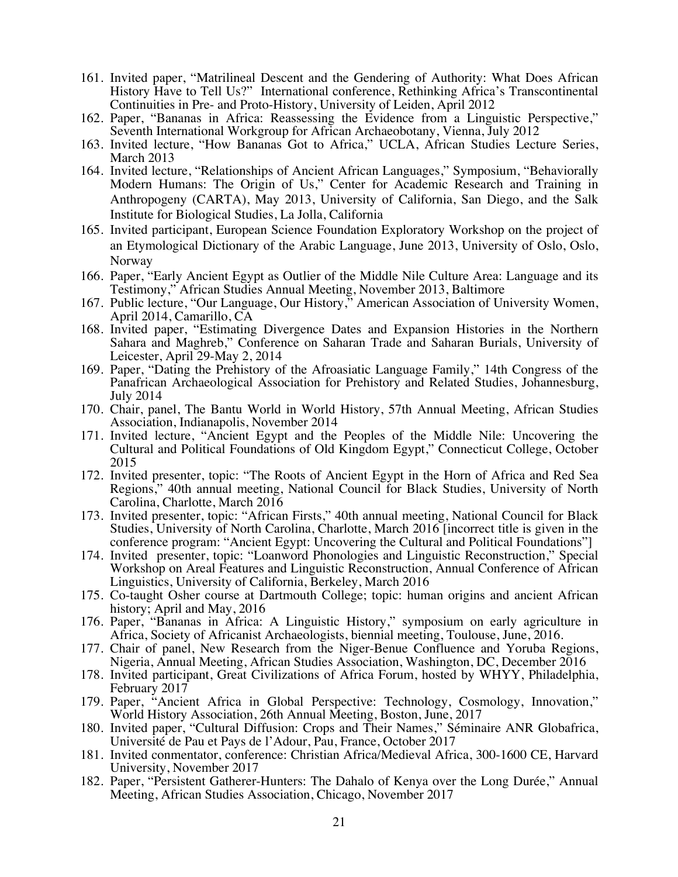- 161. Invited paper, "Matrilineal Descent and the Gendering of Authority: What Does African History Have to Tell Us?" International conference, Rethinking Africa's Transcontinental Continuities in Pre- and Proto-History, University of Leiden, April 2012
- 162. Paper, "Bananas in Africa: Reassessing the Evidence from a Linguistic Perspective," Seventh International Workgroup for African Archaeobotany, Vienna, July 2012
- 163. Invited lecture, "How Bananas Got to Africa," UCLA, African Studies Lecture Series, March 2013
- 164. Invited lecture, "Relationships of Ancient African Languages," Symposium, "Behaviorally Modern Humans: The Origin of Us," Center for Academic Research and Training in Anthropogeny (CARTA), May 2013, University of California, San Diego, and the Salk Institute for Biological Studies, La Jolla, California
- 165. Invited participant, European Science Foundation Exploratory Workshop on the project of an Etymological Dictionary of the Arabic Language, June 2013, University of Oslo, Oslo, Norway
- 166. Paper, "Early Ancient Egypt as Outlier of the Middle Nile Culture Area: Language and its Testimony," African Studies Annual Meeting, November 2013, Baltimore
- 167. Public lecture, "Our Language, Our History," American Association of University Women, April 2014, Camarillo, CA
- 168. Invited paper, "Estimating Divergence Dates and Expansion Histories in the Northern Sahara and Maghreb," Conference on Saharan Trade and Saharan Burials, University of Leicester, April 29-May 2, 2014
- 169. Paper, "Dating the Prehistory of the Afroasiatic Language Family," 14th Congress of the Panafrican Archaeological Association for Prehistory and Related Studies, Johannesburg, July 2014
- 170. Chair, panel, The Bantu World in World History, 57th Annual Meeting, African Studies Association, Indianapolis, November 2014
- 171. Invited lecture, "Ancient Egypt and the Peoples of the Middle Nile: Uncovering the Cultural and Political Foundations of Old Kingdom Egypt," Connecticut College, October 2015
- 172. Invited presenter, topic: "The Roots of Ancient Egypt in the Horn of Africa and Red Sea Regions," 40th annual meeting, National Council for Black Studies, University of North Carolina, Charlotte, March 2016
- 173. Invited presenter, topic: "African Firsts," 40th annual meeting, National Council for Black Studies, University of North Carolina, Charlotte, March 2016 [incorrect title is given in the conference program: "Ancient Egypt: Uncovering the Cultural and Political Foundations"]
- 174. Invited presenter, topic: "Loanword Phonologies and Linguistic Reconstruction," Special Workshop on Areal Features and Linguistic Reconstruction, Annual Conference of African Linguistics, University of California, Berkeley, March 2016
- 175. Co-taught Osher course at Dartmouth College; topic: human origins and ancient African history; April and May, 2016
- 176. Paper, "Bananas in Africa: A Linguistic History," symposium on early agriculture in Africa, Society of Africanist Archaeologists, biennial meeting, Toulouse, June, 2016.
- 177. Chair of panel, New Research from the Niger-Benue Confluence and Yoruba Regions, Nigeria, Annual Meeting, African Studies Association, Washington, DC, December 2016
- 178. Invited participant, Great Civilizations of Africa Forum, hosted by WHYY, Philadelphia, February 2017
- 179. Paper, "Ancient Africa in Global Perspective: Technology, Cosmology, Innovation," World History Association, 26th Annual Meeting, Boston, June, 2017
- 180. Invited paper, "Cultural Diffusion: Crops and Their Names," Séminaire ANR Globafrica, Université de Pau et Pays de l'Adour, Pau, France, October 2017
- 181. Invited conmentator, conference: Christian Africa/Medieval Africa, 300-1600 CE, Harvard University, November 2017
- 182. Paper, "Persistent Gatherer-Hunters: The Dahalo of Kenya over the Long Durée," Annual Meeting, African Studies Association, Chicago, November 2017